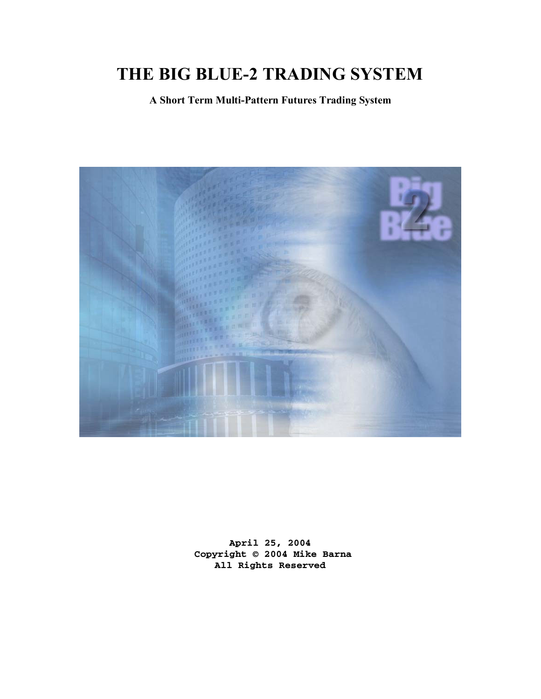# **THE BIG BLUE-2 TRADING SYSTEM**

**A Short Term Multi-Pattern Futures Trading System** 



**April 25, 2004 Copyright © 2004 Mike Barna All Rights Reserved**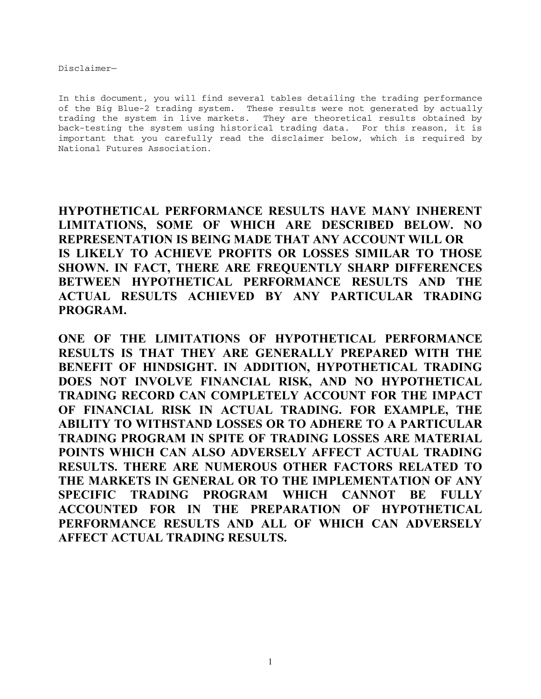Disclaimer—

In this document, you will find several tables detailing the trading performance of the Big Blue-2 trading system. These results were not generated by actually trading the system in live markets. They are theoretical results obtained by back-testing the system using historical trading data. For this reason, it is important that you carefully read the disclaimer below, which is required by National Futures Association.

**HYPOTHETICAL PERFORMANCE RESULTS HAVE MANY INHERENT LIMITATIONS, SOME OF WHICH ARE DESCRIBED BELOW. NO REPRESENTATION IS BEING MADE THAT ANY ACCOUNT WILL OR IS LIKELY TO ACHIEVE PROFITS OR LOSSES SIMILAR TO THOSE SHOWN. IN FACT, THERE ARE FREQUENTLY SHARP DIFFERENCES BETWEEN HYPOTHETICAL PERFORMANCE RESULTS AND THE ACTUAL RESULTS ACHIEVED BY ANY PARTICULAR TRADING PROGRAM.** 

**ONE OF THE LIMITATIONS OF HYPOTHETICAL PERFORMANCE RESULTS IS THAT THEY ARE GENERALLY PREPARED WITH THE BENEFIT OF HINDSIGHT. IN ADDITION, HYPOTHETICAL TRADING DOES NOT INVOLVE FINANCIAL RISK, AND NO HYPOTHETICAL TRADING RECORD CAN COMPLETELY ACCOUNT FOR THE IMPACT OF FINANCIAL RISK IN ACTUAL TRADING. FOR EXAMPLE, THE ABILITY TO WITHSTAND LOSSES OR TO ADHERE TO A PARTICULAR TRADING PROGRAM IN SPITE OF TRADING LOSSES ARE MATERIAL POINTS WHICH CAN ALSO ADVERSELY AFFECT ACTUAL TRADING RESULTS. THERE ARE NUMEROUS OTHER FACTORS RELATED TO THE MARKETS IN GENERAL OR TO THE IMPLEMENTATION OF ANY SPECIFIC TRADING PROGRAM WHICH CANNOT BE FULLY ACCOUNTED FOR IN THE PREPARATION OF HYPOTHETICAL PERFORMANCE RESULTS AND ALL OF WHICH CAN ADVERSELY AFFECT ACTUAL TRADING RESULTS.**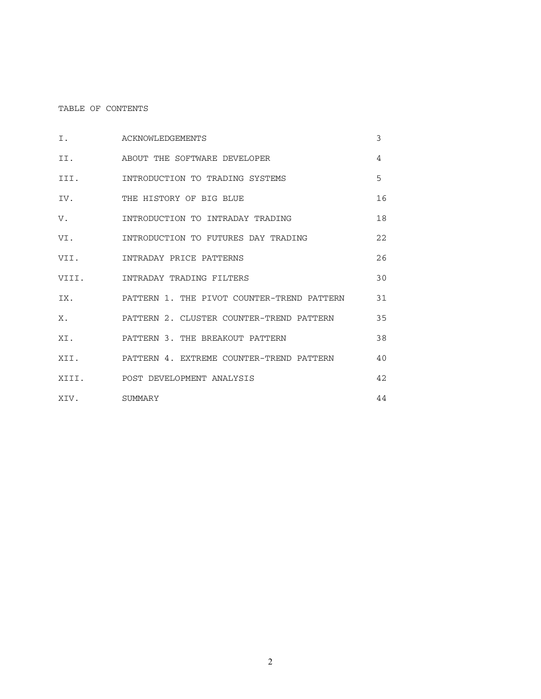# TABLE OF CONTENTS

| Ι.           | ACKNOWLEDGEMENTS                           | 3  |
|--------------|--------------------------------------------|----|
| II.          | ABOUT THE SOFTWARE DEVELOPER               | 4  |
| III.         | INTRODUCTION TO TRADING SYSTEMS            | 5  |
| IV.          | THE HISTORY OF BIG BLUE                    | 16 |
| V.           | INTRODUCTION TO INTRADAY TRADING           | 18 |
| VI.          | INTRODUCTION TO FUTURES DAY TRADING        | 22 |
| VII.         | INTRADAY PRICE PATTERNS                    | 26 |
| VIII.        | INTRADAY TRADING FILTERS                   | 30 |
| IX.          | PATTERN 1. THE PIVOT COUNTER-TREND PATTERN | 31 |
| Х.           | PATTERN 2. CLUSTER COUNTER-TREND PATTERN   | 35 |
| XI.          | PATTERN 3. THE BREAKOUT PATTERN            | 38 |
| XII.         | PATTERN 4. EXTREME COUNTER-TREND PATTERN   | 40 |
|              | XIII. POST DEVELOPMENT ANALYSIS            | 42 |
| XIV. SUMMARY |                                            | 44 |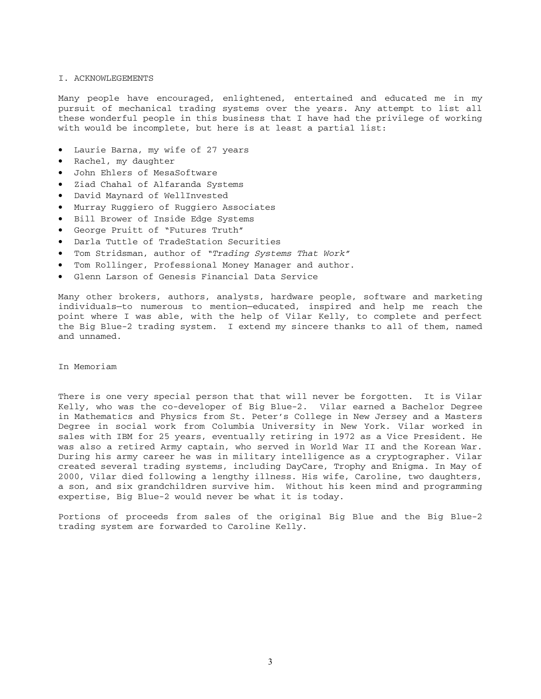#### I. ACKNOWLEGEMENTS

Many people have encouraged, enlightened, entertained and educated me in my pursuit of mechanical trading systems over the years. Any attempt to list all these wonderful people in this business that I have had the privilege of working with would be incomplete, but here is at least a partial list:

- Laurie Barna, my wife of 27 years
- Rachel, my daughter
- John Ehlers of MesaSoftware
- Ziad Chahal of Alfaranda Systems
- David Maynard of WellInvested
- Murray Ruggiero of Ruggiero Associates
- Bill Brower of Inside Edge Systems
- George Pruitt of "Futures Truth"
- Darla Tuttle of TradeStation Securities
- Tom Stridsman, author of *"Trading Systems That Work"*
- Tom Rollinger, Professional Money Manager and author.
- Glenn Larson of Genesis Financial Data Service

Many other brokers, authors, analysts, hardware people, software and marketing individuals—to numerous to mention—educated, inspired and help me reach the point where I was able, with the help of Vilar Kelly, to complete and perfect the Big Blue-2 trading system. I extend my sincere thanks to all of them, named and unnamed.

In Memoriam

There is one very special person that that will never be forgotten. It is Vilar Kelly, who was the co-developer of Big Blue-2. Vilar earned a Bachelor Degree in Mathematics and Physics from St. Peter's College in New Jersey and a Masters Degree in social work from Columbia University in New York. Vilar worked in sales with IBM for 25 years, eventually retiring in 1972 as a Vice President. He was also a retired Army captain, who served in World War II and the Korean War. During his army career he was in military intelligence as a cryptographer. Vilar created several trading systems, including DayCare, Trophy and Enigma. In May of 2000, Vilar died following a lengthy illness. His wife, Caroline, two daughters, a son, and six grandchildren survive him. Without his keen mind and programming expertise, Big Blue-2 would never be what it is today.

Portions of proceeds from sales of the original Big Blue and the Big Blue-2 trading system are forwarded to Caroline Kelly.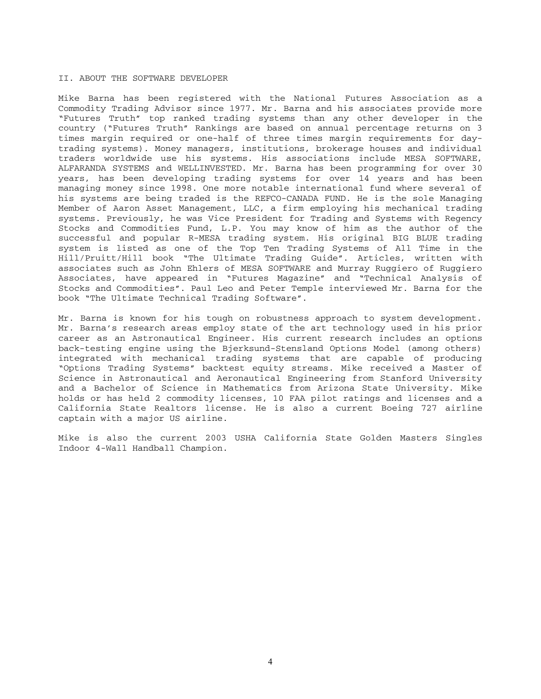#### II. ABOUT THE SOFTWARE DEVELOPER

Mike Barna has been registered with the National Futures Association as a Commodity Trading Advisor since 1977. Mr. Barna and his associates provide more "Futures Truth" top ranked trading systems than any other developer in the country ("Futures Truth" Rankings are based on annual percentage returns on 3 times margin required or one-half of three times margin requirements for daytrading systems). Money managers, institutions, brokerage houses and individual traders worldwide use his systems. His associations include MESA SOFTWARE, ALFARANDA SYSTEMS and WELLINVESTED. Mr. Barna has been programming for over 30 years, has been developing trading systems for over 14 years and has been managing money since 1998. One more notable international fund where several of his systems are being traded is the REFCO-CANADA FUND. He is the sole Managing Member of Aaron Asset Management, LLC, a firm employing his mechanical trading systems. Previously, he was Vice President for Trading and Systems with Regency Stocks and Commodities Fund, L.P. You may know of him as the author of the successful and popular R-MESA trading system. His original BIG BLUE trading system is listed as one of the Top Ten Trading Systems of All Time in the Hill/Pruitt/Hill book "The Ultimate Trading Guide". Articles, written with associates such as John Ehlers of MESA SOFTWARE and Murray Ruggiero of Ruggiero Associates, have appeared in "Futures Magazine" and "Technical Analysis of Stocks and Commodities". Paul Leo and Peter Temple interviewed Mr. Barna for the book "The Ultimate Technical Trading Software".

Mr. Barna is known for his tough on robustness approach to system development. Mr. Barna's research areas employ state of the art technology used in his prior career as an Astronautical Engineer. His current research includes an options back-testing engine using the Bjerksund-Stensland Options Model (among others) integrated with mechanical trading systems that are capable of producing "Options Trading Systems" backtest equity streams. Mike received a Master of Science in Astronautical and Aeronautical Engineering from Stanford University and a Bachelor of Science in Mathematics from Arizona State University. Mike holds or has held 2 commodity licenses, 10 FAA pilot ratings and licenses and a California State Realtors license. He is also a current Boeing 727 airline captain with a major US airline.

Mike is also the current 2003 USHA California State Golden Masters Singles Indoor 4-Wall Handball Champion.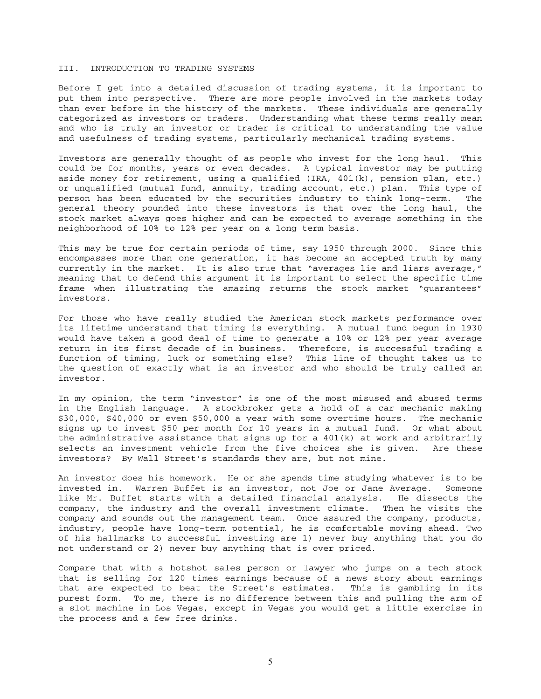#### III. INTRODUCTION TO TRADING SYSTEMS

Before I get into a detailed discussion of trading systems, it is important to put them into perspective. There are more people involved in the markets today than ever before in the history of the markets. These individuals are generally categorized as investors or traders. Understanding what these terms really mean and who is truly an investor or trader is critical to understanding the value and usefulness of trading systems, particularly mechanical trading systems.

Investors are generally thought of as people who invest for the long haul. This could be for months, years or even decades. A typical investor may be putting aside money for retirement, using a qualified (IRA, 401(k), pension plan, etc.) or unqualified (mutual fund, annuity, trading account, etc.) plan. This type of person has been educated by the securities industry to think long-term. The general theory pounded into these investors is that over the long haul, the stock market always goes higher and can be expected to average something in the neighborhood of 10% to 12% per year on a long term basis.

This may be true for certain periods of time, say 1950 through 2000. Since this encompasses more than one generation, it has become an accepted truth by many currently in the market. It is also true that "averages lie and liars average," meaning that to defend this argument it is important to select the specific time frame when illustrating the amazing returns the stock market "guarantees" investors.

For those who have really studied the American stock markets performance over its lifetime understand that timing is everything. A mutual fund begun in 1930 would have taken a good deal of time to generate a 10% or 12% per year average return in its first decade of in business. Therefore, is successful trading a function of timing, luck or something else? This line of thought takes us to the question of exactly what is an investor and who should be truly called an investor.

In my opinion, the term "investor" is one of the most misused and abused terms in the English language. A stockbroker gets a hold of a car mechanic making \$30,000, \$40,000 or even \$50,000 a year with some overtime hours. The mechanic signs up to invest \$50 per month for 10 years in a mutual fund. Or what about the administrative assistance that signs up for a 401(k) at work and arbitrarily selects an investment vehicle from the five choices she is given. Are these investors? By Wall Street's standards they are, but not mine.

An investor does his homework. He or she spends time studying whatever is to be invested in. Warren Buffet is an investor, not Joe or Jane Average. Someone like Mr. Buffet starts with a detailed financial analysis. He dissects the company, the industry and the overall investment climate. Then he visits the company and sounds out the management team. Once assured the company, products, industry, people have long-term potential, he is comfortable moving ahead. Two of his hallmarks to successful investing are 1) never buy anything that you do not understand or 2) never buy anything that is over priced.

Compare that with a hotshot sales person or lawyer who jumps on a tech stock that is selling for 120 times earnings because of a news story about earnings that are expected to beat the Street's estimates. This is gambling in its purest form. To me, there is no difference between this and pulling the arm of a slot machine in Los Vegas, except in Vegas you would get a little exercise in the process and a few free drinks.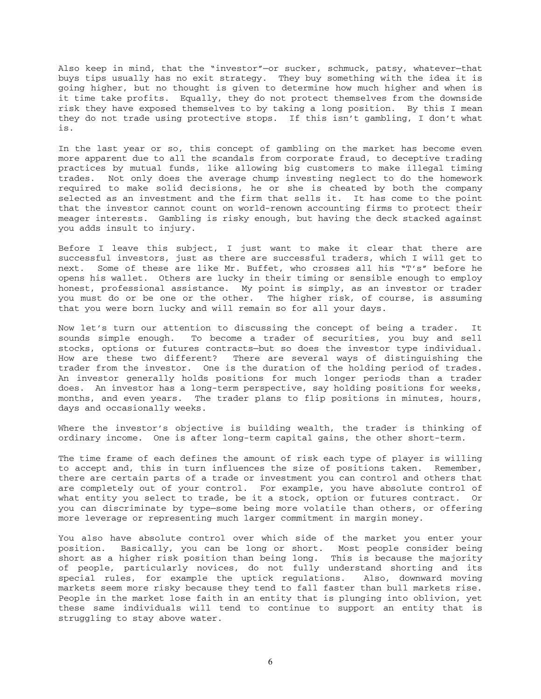Also keep in mind, that the "investor"—or sucker, schmuck, patsy, whatever—that buys tips usually has no exit strategy. They buy something with the idea it is going higher, but no thought is given to determine how much higher and when is it time take profits. Equally, they do not protect themselves from the downside risk they have exposed themselves to by taking a long position. By this I mean they do not trade using protective stops. If this isn't gambling, I don't what is.

In the last year or so, this concept of gambling on the market has become even more apparent due to all the scandals from corporate fraud, to deceptive trading practices by mutual funds, like allowing big customers to make illegal timing trades. Not only does the average chump investing neglect to do the homework required to make solid decisions, he or she is cheated by both the company selected as an investment and the firm that sells it. It has come to the point that the investor cannot count on world-renown accounting firms to protect their meager interests. Gambling is risky enough, but having the deck stacked against you adds insult to injury.

Before I leave this subject, I just want to make it clear that there are successful investors, just as there are successful traders, which I will get to next. Some of these are like Mr. Buffet, who crosses all his "T's" before he opens his wallet. Others are lucky in their timing or sensible enough to employ honest, professional assistance. My point is simply, as an investor or trader you must do or be one or the other. The higher risk, of course, is assuming that you were born lucky and will remain so for all your days.

Now let's turn our attention to discussing the concept of being a trader. It sounds simple enough. To become a trader of securities, you buy and sell stocks, options or futures contracts—but so does the investor type individual. How are these two different? There are several ways of distinguishing the trader from the investor. One is the duration of the holding period of trades. An investor generally holds positions for much longer periods than a trader does. An investor has a long-term perspective, say holding positions for weeks, months, and even years. The trader plans to flip positions in minutes, hours, days and occasionally weeks.

Where the investor's objective is building wealth, the trader is thinking of ordinary income. One is after long-term capital gains, the other short-term.

The time frame of each defines the amount of risk each type of player is willing to accept and, this in turn influences the size of positions taken. Remember, there are certain parts of a trade or investment you can control and others that are completely out of your control. For example, you have absolute control of what entity you select to trade, be it a stock, option or futures contract. Or you can discriminate by type—some being more volatile than others, or offering more leverage or representing much larger commitment in margin money.

You also have absolute control over which side of the market you enter your position. Basically, you can be long or short. Most people consider being short as a higher risk position than being long. This is because the majority of people, particularly novices, do not fully understand shorting and its special rules, for example the uptick regulations. Also, downward moving markets seem more risky because they tend to fall faster than bull markets rise. People in the market lose faith in an entity that is plunging into oblivion, yet these same individuals will tend to continue to support an entity that is struggling to stay above water.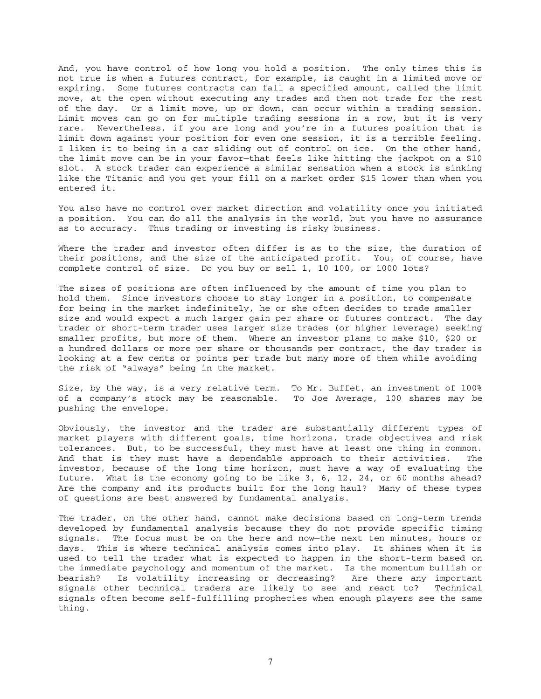And, you have control of how long you hold a position. The only times this is not true is when a futures contract, for example, is caught in a limited move or expiring. Some futures contracts can fall a specified amount, called the limit move, at the open without executing any trades and then not trade for the rest of the day. Or a limit move, up or down, can occur within a trading session. Limit moves can go on for multiple trading sessions in a row, but it is very rare. Nevertheless, if you are long and you're in a futures position that is limit down against your position for even one session, it is a terrible feeling. I liken it to being in a car sliding out of control on ice. On the other hand, the limit move can be in your favor—that feels like hitting the jackpot on a \$10 slot. A stock trader can experience a similar sensation when a stock is sinking like the Titanic and you get your fill on a market order \$15 lower than when you entered it.

You also have no control over market direction and volatility once you initiated a position. You can do all the analysis in the world, but you have no assurance as to accuracy. Thus trading or investing is risky business.

Where the trader and investor often differ is as to the size, the duration of their positions, and the size of the anticipated profit. You, of course, have complete control of size. Do you buy or sell 1, 10 100, or 1000 lots?

The sizes of positions are often influenced by the amount of time you plan to hold them. Since investors choose to stay longer in a position, to compensate for being in the market indefinitely, he or she often decides to trade smaller size and would expect a much larger gain per share or futures contract. The day trader or short-term trader uses larger size trades (or higher leverage) seeking smaller profits, but more of them. Where an investor plans to make \$10, \$20 or a hundred dollars or more per share or thousands per contract, the day trader is looking at a few cents or points per trade but many more of them while avoiding the risk of "always" being in the market.

Size, by the way, is a very relative term. To Mr. Buffet, an investment of 100% of a company's stock may be reasonable. To Joe Average, 100 shares may be pushing the envelope.

Obviously, the investor and the trader are substantially different types of market players with different goals, time horizons, trade objectives and risk tolerances. But, to be successful, they must have at least one thing in common. And that is they must have a dependable approach to their activities. The investor, because of the long time horizon, must have a way of evaluating the future. What is the economy going to be like 3, 6, 12, 24, or 60 months ahead? Are the company and its products built for the long haul? Many of these types of questions are best answered by fundamental analysis.

The trader, on the other hand, cannot make decisions based on long-term trends developed by fundamental analysis because they do not provide specific timing signals. The focus must be on the here and now—the next ten minutes, hours or days. This is where technical analysis comes into play. It shines when it is used to tell the trader what is expected to happen in the short-term based on the immediate psychology and momentum of the market. Is the momentum bullish or bearish? Is volatility increasing or decreasing? Are there any important signals other technical traders are likely to see and react to? Technical signals often become self-fulfilling prophecies when enough players see the same thing.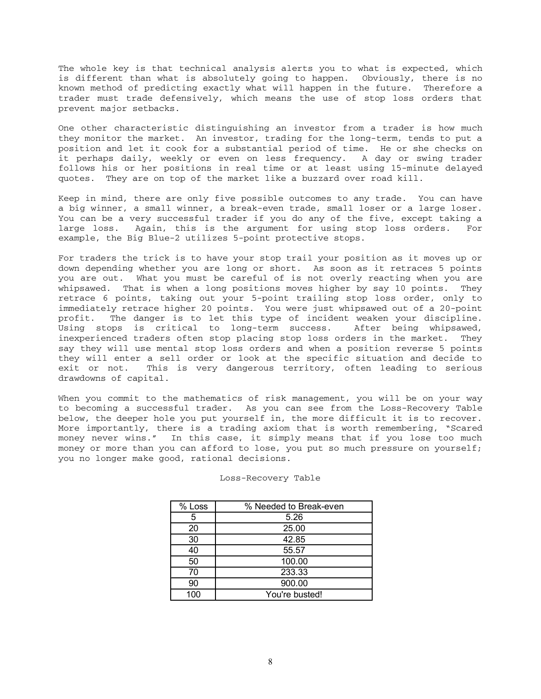The whole key is that technical analysis alerts you to what is expected, which is different than what is absolutely going to happen. Obviously, there is no known method of predicting exactly what will happen in the future. Therefore a trader must trade defensively, which means the use of stop loss orders that prevent major setbacks.

One other characteristic distinguishing an investor from a trader is how much they monitor the market. An investor, trading for the long-term, tends to put a position and let it cook for a substantial period of time. He or she checks on it perhaps daily, weekly or even on less frequency. A day or swing trader follows his or her positions in real time or at least using 15-minute delayed quotes. They are on top of the market like a buzzard over road kill.

Keep in mind, there are only five possible outcomes to any trade. You can have a big winner, a small winner, a break-even trade, small loser or a large loser. You can be a very successful trader if you do any of the five, except taking a large loss. Again, this is the argument for using stop loss orders. For example, the Big Blue-2 utilizes 5-point protective stops.

For traders the trick is to have your stop trail your position as it moves up or down depending whether you are long or short. As soon as it retraces 5 points you are out. What you must be careful of is not overly reacting when you are whipsawed. That is when a long positions moves higher by say 10 points. They retrace 6 points, taking out your 5-point trailing stop loss order, only to immediately retrace higher 20 points. You were just whipsawed out of a 20-point profit. The danger is to let this type of incident weaken your discipline. Using stops is critical to long-term success. After being whipsawed, inexperienced traders often stop placing stop loss orders in the market. They say they will use mental stop loss orders and when a position reverse 5 points they will enter a sell order or look at the specific situation and decide to exit or not. This is very dangerous territory, often leading to serious drawdowns of capital.

When you commit to the mathematics of risk management, you will be on your way to becoming a successful trader. As you can see from the Loss-Recovery Table below, the deeper hole you put yourself in, the more difficult it is to recover. More importantly, there is a trading axiom that is worth remembering, "Scared money never wins." In this case, it simply means that if you lose too much money or more than you can afford to lose, you put so much pressure on yourself; you no longer make good, rational decisions.

| % Loss | % Needed to Break-even |
|--------|------------------------|
| 5      | 5.26                   |
| 20     | 25.00                  |
| 30     | 42.85                  |
| 40     | 55.57                  |
| 50     | 100.00                 |
| 70     | 233.33                 |
| 90     | 900.00                 |
| 100    | You're busted!         |

#### Loss-Recovery Table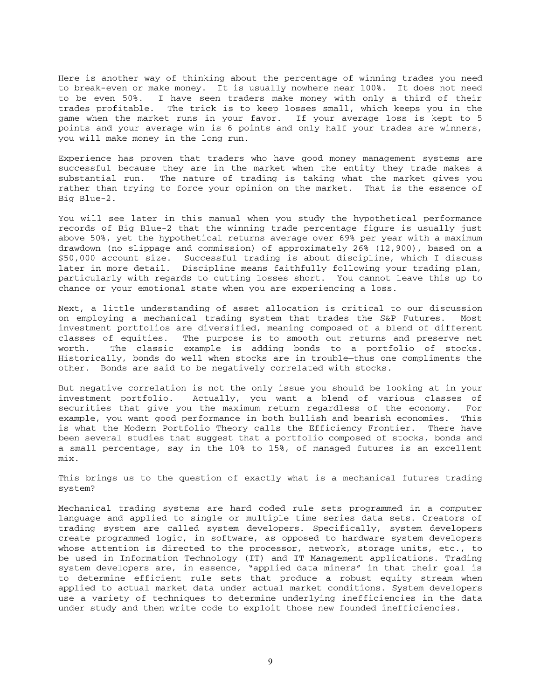Here is another way of thinking about the percentage of winning trades you need to break-even or make money. It is usually nowhere near 100%. It does not need to be even 50%. I have seen traders make money with only a third of their trades profitable. The trick is to keep losses small, which keeps you in the game when the market runs in your favor. If your average loss is kept to 5 points and your average win is 6 points and only half your trades are winners, you will make money in the long run.

Experience has proven that traders who have good money management systems are successful because they are in the market when the entity they trade makes a substantial run. The nature of trading is taking what the market gives you rather than trying to force your opinion on the market. That is the essence of Big Blue-2.

You will see later in this manual when you study the hypothetical performance records of Big Blue-2 that the winning trade percentage figure is usually just above 50%, yet the hypothetical returns average over 69% per year with a maximum drawdown (no slippage and commission) of approximately 26% (12,900), based on a \$50,000 account size. Successful trading is about discipline, which I discuss later in more detail. Discipline means faithfully following your trading plan, particularly with regards to cutting losses short. You cannot leave this up to chance or your emotional state when you are experiencing a loss.

Next, a little understanding of asset allocation is critical to our discussion on employing a mechanical trading system that trades the S&P Futures. Most investment portfolios are diversified, meaning composed of a blend of different classes of equities. The purpose is to smooth out returns and preserve net worth. The classic example is adding bonds to a portfolio of stocks. Historically, bonds do well when stocks are in trouble—thus one compliments the other. Bonds are said to be negatively correlated with stocks.

But negative correlation is not the only issue you should be looking at in your investment portfolio. Actually, you want a blend of various classes of securities that give you the maximum return regardless of the economy. For example, you want good performance in both bullish and bearish economies. This is what the Modern Portfolio Theory calls the Efficiency Frontier. There have been several studies that suggest that a portfolio composed of stocks, bonds and a small percentage, say in the 10% to 15%, of managed futures is an excellent mix.

This brings us to the question of exactly what is a mechanical futures trading system?

Mechanical trading systems are hard coded rule sets programmed in a computer language and applied to single or multiple time series data sets. Creators of trading system are called system developers. Specifically, system developers create programmed logic, in software, as opposed to hardware system developers whose attention is directed to the processor, network, storage units, etc., to be used in Information Technology (IT) and IT Management applications. Trading system developers are, in essence, "applied data miners" in that their goal is to determine efficient rule sets that produce a robust equity stream when applied to actual market data under actual market conditions. System developers use a variety of techniques to determine underlying inefficiencies in the data under study and then write code to exploit those new founded inefficiencies.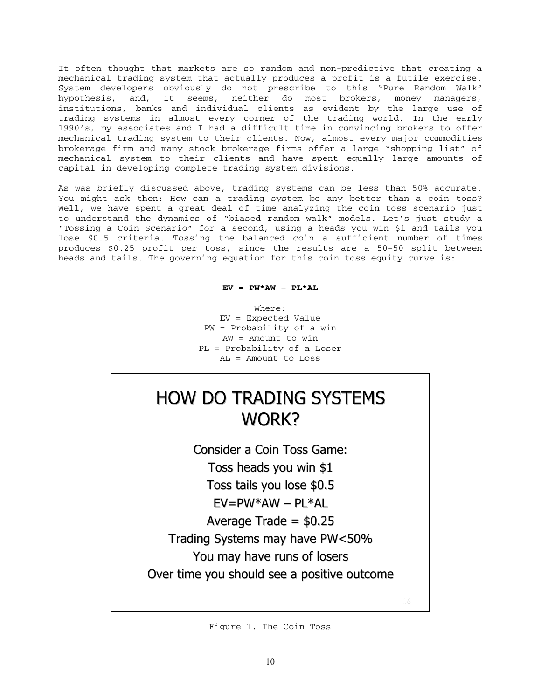It often thought that markets are so random and non-predictive that creating a mechanical trading system that actually produces a profit is a futile exercise. System developers obviously do not prescribe to this "Pure Random Walk" hypothesis, and, it seems, neither do most brokers, money managers, institutions, banks and individual clients as evident by the large use of trading systems in almost every corner of the trading world. In the early 1990's, my associates and I had a difficult time in convincing brokers to offer mechanical trading system to their clients. Now, almost every major commodities brokerage firm and many stock brokerage firms offer a large "shopping list" of mechanical system to their clients and have spent equally large amounts of capital in developing complete trading system divisions.

As was briefly discussed above, trading systems can be less than 50% accurate. You might ask then: How can a trading system be any better than a coin toss? Well, we have spent a great deal of time analyzing the coin toss scenario just to understand the dynamics of "biased random walk" models. Let's just study a "Tossing a Coin Scenario" for a second, using a heads you win \$1 and tails you lose \$0.5 criteria. Tossing the balanced coin a sufficient number of times produces \$0.25 profit per toss, since the results are a 50-50 split between heads and tails. The governing equation for this coin toss equity curve is:

# $EV = PW*AW - PL*AL$

Where: EV = Expected Value PW = Probability of a win AW = Amount to win PL = Probability of a Loser AL = Amount to Loss

# **HOW DO TRADING SYSTEMS** WORK?

Consider a Coin Toss Game: Toss heads you win \$1 Toss tails you lose \$0.5  $FV = PW*AW - PI*AI$ Average Trade =  $$0.25$ Trading Systems may have PW<50% You may have runs of losers Over time you should see a positive outcome

Figure 1. The Coin Toss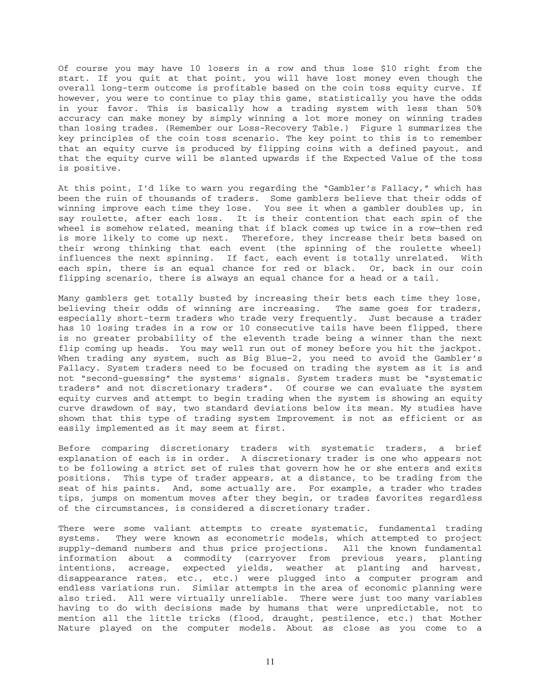Of course you may have 10 losers in a row and thus lose \$10 right from the start. If you quit at that point, you will have lost money even though the overall long-term outcome is profitable based on the coin toss equity curve. If however, you were to continue to play this game, statistically you have the odds in your favor. This is basically how a trading system with less than 50% accuracy can make money by simply winning a lot more money on winning trades than losing trades. (Remember our Loss-Recovery Table.) Figure 1 summarizes the key principles of the coin toss scenario. The key point to this is to remember that an equity curve is produced by flipping coins with a defined payout, and that the equity curve will be slanted upwards if the Expected Value of the toss is positive.

At this point, I'd like to warn you regarding the "Gambler's Fallacy," which has been the ruin of thousands of traders. Some gamblers believe that their odds of winning improve each time they lose. You see it when a gambler doubles up, in say roulette, after each loss. It is their contention that each spin of the wheel is somehow related, meaning that if black comes up twice in a row—then red is more likely to come up next. Therefore, they increase their bets based on their wrong thinking that each event (the spinning of the roulette wheel) influences the next spinning. If fact, each event is totally unrelated. With each spin, there is an equal chance for red or black. Or, back in our coin flipping scenario, there is always an equal chance for a head or a tail.

Many gamblers get totally busted by increasing their bets each time they lose, believing their odds of winning are increasing. The same goes for traders, especially short-term traders who trade very frequently. Just because a trader has 10 losing trades in a row or 10 consecutive tails have been flipped, there is no greater probability of the eleventh trade being a winner than the next flip coming up heads. You may well run out of money before you hit the jackpot. When trading any system, such as Big Blue–2, you need to avoid the Gambler's Fallacy. System traders need to be focused on trading the system as it is and not "second-guessing" the systems' signals. System traders must be "systematic traders" and not discretionary traders". Of course we can evaluate the system equity curves and attempt to begin trading when the system is showing an equity curve drawdown of say, two standard deviations below its mean. My studies have shown that this type of trading system Improvement is not as efficient or as easily implemented as it may seem at first.

Before comparing discretionary traders with systematic traders, a brief explanation of each is in order. A discretionary trader is one who appears not to be following a strict set of rules that govern how he or she enters and exits positions. This type of trader appears, at a distance, to be trading from the seat of his paints. And, some actually are. For example, a trader who trades tips, jumps on momentum moves after they begin, or trades favorites regardless of the circumstances, is considered a discretionary trader.

There were some valiant attempts to create systematic, fundamental trading systems. They were known as econometric models, which attempted to project supply-demand numbers and thus price projections. All the known fundamental information about a commodity (carryover from previous years, planting intentions, acreage, expected yields, weather at planting and harvest, disappearance rates, etc., etc.) were plugged into a computer program and endless variations run. Similar attempts in the area of economic planning were also tried. All were virtually unreliable. There were just too many variables having to do with decisions made by humans that were unpredictable, not to mention all the little tricks (flood, draught, pestilence, etc.) that Mother Nature played on the computer models. About as close as you come to a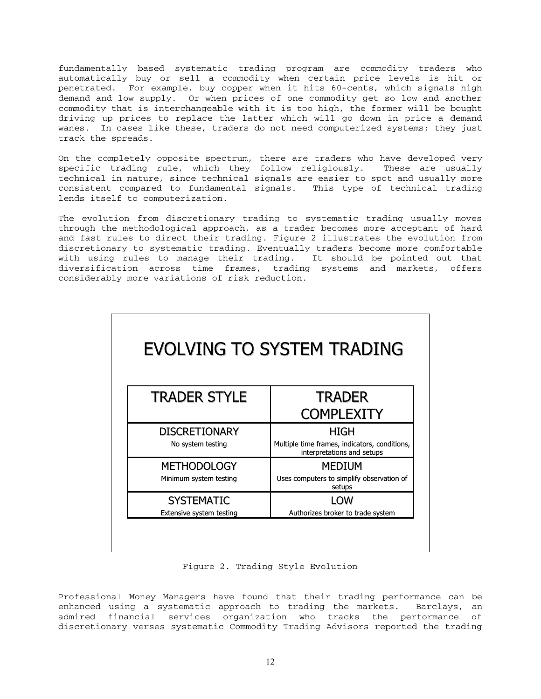fundamentally based systematic trading program are commodity traders who automatically buy or sell a commodity when certain price levels is hit or penetrated. For example, buy copper when it hits 60-cents, which signals high demand and low supply. Or when prices of one commodity get so low and another commodity that is interchangeable with it is too high, the former will be bought driving up prices to replace the latter which will go down in price a demand wanes. In cases like these, traders do not need computerized systems; they just track the spreads.

On the completely opposite spectrum, there are traders who have developed very specific trading rule, which they follow religiously. These are usually technical in nature, since technical signals are easier to spot and usually more consistent compared to fundamental signals. This type of technical trading lends itself to computerization.

The evolution from discretionary trading to systematic trading usually moves through the methodological approach, as a trader becomes more acceptant of hard and fast rules to direct their trading. Figure 2 illustrates the evolution from discretionary to systematic trading. Eventually traders become more comfortable with using rules to manage their trading. It should be pointed out that diversification across time frames, trading systems and markets, offers considerably more variations of risk reduction.

| <b>EVOLVING TO SYSTEM TRADING</b>             |                                                                                     |  |  |  |
|-----------------------------------------------|-------------------------------------------------------------------------------------|--|--|--|
| <b>TRADER STYLE</b>                           | <b>TRADER</b><br><b>COMPLEXITY</b>                                                  |  |  |  |
| <b>DISCRETIONARY</b><br>No system testing     | HIGH<br>Multiple time frames, indicators, conditions,<br>interpretations and setups |  |  |  |
| <b>METHODOLOGY</b><br>Minimum system testing  | <b>MEDIUM</b><br>Uses computers to simplify observation of<br>setups                |  |  |  |
| <b>SYSTEMATIC</b><br>Extensive system testing | LOW<br>Authorizes broker to trade system                                            |  |  |  |

Figure 2. Trading Style Evolution

Professional Money Managers have found that their trading performance can be enhanced using a systematic approach to trading the markets. Barclays, an admired financial services organization who tracks the performance of discretionary verses systematic Commodity Trading Advisors reported the trading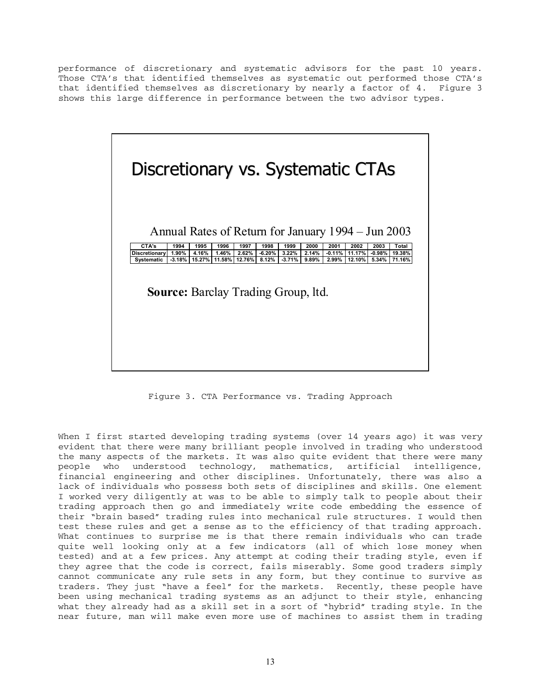performance of discretionary and systematic advisors for the past 10 years. Those CTA's that identified themselves as systematic out performed those CTA's that identified themselves as discretionary by nearly a factor of 4. Figure 3 shows this large difference in performance between the two advisor types.



Figure 3. CTA Performance vs. Trading Approach

When I first started developing trading systems (over 14 years ago) it was very evident that there were many brilliant people involved in trading who understood the many aspects of the markets. It was also quite evident that there were many people who understood technology, mathematics, artificial intelligence, financial engineering and other disciplines. Unfortunately, there was also a lack of individuals who possess both sets of disciplines and skills. One element I worked very diligently at was to be able to simply talk to people about their trading approach then go and immediately write code embedding the essence of their "brain based" trading rules into mechanical rule structures. I would then test these rules and get a sense as to the efficiency of that trading approach. What continues to surprise me is that there remain individuals who can trade quite well looking only at a few indicators (all of which lose money when tested) and at a few prices. Any attempt at coding their trading style, even if they agree that the code is correct, fails miserably. Some good traders simply cannot communicate any rule sets in any form, but they continue to survive as traders. They just "have a feel" for the markets. Recently, these people have been using mechanical trading systems as an adjunct to their style, enhancing what they already had as a skill set in a sort of "hybrid" trading style. In the near future, man will make even more use of machines to assist them in trading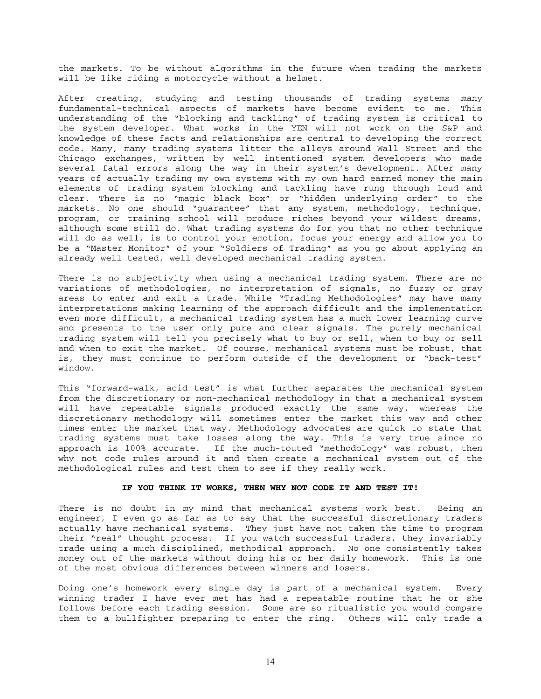the markets. To be without algorithms in the future when trading the markets will be like riding a motorcycle without a helmet.

After creating, studying and testing thousands of trading systems many fundamental-technical aspects of markets have become evident to me. This understanding of the "blocking and tackling" of trading system is critical to the system developer. What works in the YEN will not work on the S&P and knowledge of these facts and relationships are central to developing the correct code. Many, many trading systems litter the alleys around Wall Street and the Chicago exchanges, written by well intentioned system developers who made several fatal errors along the way in their system's development. After many years of actually trading my own systems with my own hard earned money the main elements of trading system blocking and tackling have rung through loud and clear. There is no "magic black box" or "hidden underlying order" to the markets. No one should "guarantee" that any system, methodology, technique, program, or training school will produce riches beyond your wildest dreams, although some still do. What trading systems do for you that no other technique will do as well, is to control your emotion, focus your energy and allow you to be a "Master Monitor" of your "Soldiers of Trading" as you go about applying an already well tested, well developed mechanical trading system.

There is no subjectivity when using a mechanical trading system. There are no variations of methodologies, no interpretation of signals, no fuzzy or gray areas to enter and exit a trade. While "Trading Methodologies" may have many interpretations making learning of the approach difficult and the implementation even more difficult, a mechanical trading system has a much lower learning curve and presents to the user only pure and clear signals. The purely mechanical trading system will tell you precisely what to buy or sell, when to buy or sell and when to exit the market. Of course, mechanical systems must be robust, that is, they must continue to perform outside of the development or "back-test" window.

This "forward-walk, acid test" is what further separates the mechanical system from the discretionary or non-mechanical methodology in that a mechanical system will have repeatable signals produced exactly the same way, whereas the discretionary methodology will sometimes enter the market this way and other times enter the market that way. Methodology advocates are quick to state that trading systems must take losses along the way. This is very true since no approach is 100% accurate. If the much-touted "methodology" was robust, then why not code rules around it and then create a mechanical system out of the methodological rules and test them to see if they really work.

#### **IF YOU THINK IT WORKS, THEN WHY NOT CODE IT AND TEST IT!**

There is no doubt in my mind that mechanical systems work best. Being an engineer, I even go as far as to say that the successful discretionary traders actually have mechanical systems. They just have not taken the time to program their "real" thought process. If you watch successful traders, they invariably trade using a much disciplined, methodical approach. No one consistently takes money out of the markets without doing his or her daily homework. This is one of the most obvious differences between winners and losers.

Doing one's homework every single day is part of a mechanical system. Every winning trader I have ever met has had a repeatable routine that he or she follows before each trading session. Some are so ritualistic you would compare them to a bullfighter preparing to enter the ring. Others will only trade a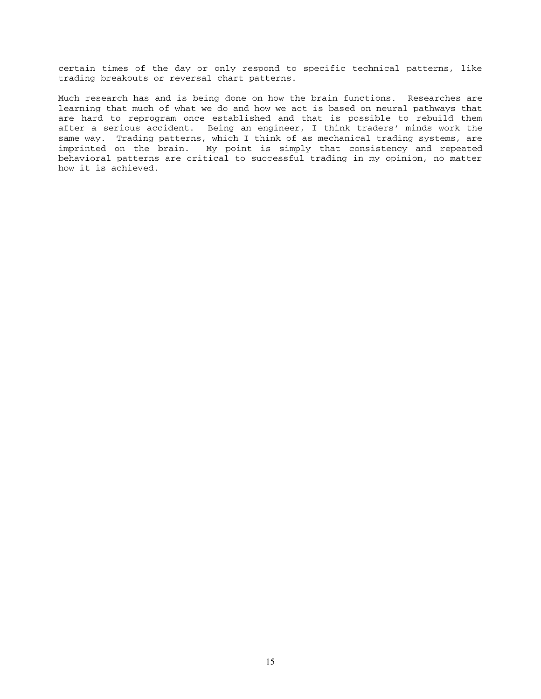certain times of the day or only respond to specific technical patterns, like trading breakouts or reversal chart patterns.

Much research has and is being done on how the brain functions. Researches are learning that much of what we do and how we act is based on neural pathways that are hard to reprogram once established and that is possible to rebuild them after a serious accident. Being an engineer, I think traders' minds work the same way. Trading patterns, which I think of as mechanical trading systems, are imprinted on the brain. My point is simply that consistency and repeated behavioral patterns are critical to successful trading in my opinion, no matter how it is achieved.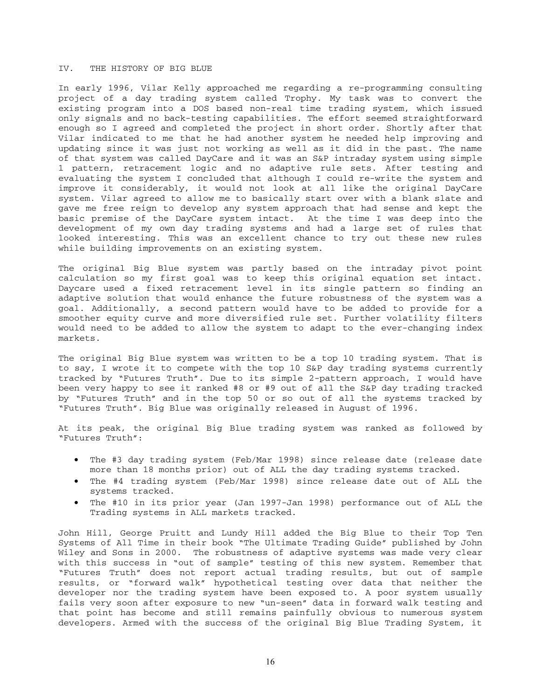#### IV. THE HISTORY OF BIG BLUE

In early 1996, Vilar Kelly approached me regarding a re-programming consulting project of a day trading system called Trophy. My task was to convert the existing program into a DOS based non-real time trading system, which issued only signals and no back-testing capabilities. The effort seemed straightforward enough so I agreed and completed the project in short order. Shortly after that Vilar indicated to me that he had another system he needed help improving and updating since it was just not working as well as it did in the past. The name of that system was called DayCare and it was an S&P intraday system using simple 1 pattern, retracement logic and no adaptive rule sets. After testing and evaluating the system I concluded that although I could re-write the system and improve it considerably, it would not look at all like the original DayCare system. Vilar agreed to allow me to basically start over with a blank slate and gave me free reign to develop any system approach that had sense and kept the basic premise of the DayCare system intact. At the time I was deep into the development of my own day trading systems and had a large set of rules that looked interesting. This was an excellent chance to try out these new rules while building improvements on an existing system.

The original Big Blue system was partly based on the intraday pivot point calculation so my first goal was to keep this original equation set intact. Daycare used a fixed retracement level in its single pattern so finding an adaptive solution that would enhance the future robustness of the system was a goal. Additionally, a second pattern would have to be added to provide for a smoother equity curve and more diversified rule set. Further volatility filters would need to be added to allow the system to adapt to the ever-changing index markets.

The original Big Blue system was written to be a top 10 trading system. That is to say, I wrote it to compete with the top 10 S&P day trading systems currently tracked by "Futures Truth". Due to its simple 2-pattern approach, I would have been very happy to see it ranked #8 or #9 out of all the S&P day trading tracked by "Futures Truth" and in the top 50 or so out of all the systems tracked by "Futures Truth". Big Blue was originally released in August of 1996.

At its peak, the original Big Blue trading system was ranked as followed by "Futures Truth":

- The #3 day trading system (Feb/Mar 1998) since release date (release date more than 18 months prior) out of ALL the day trading systems tracked.
- The #4 trading system (Feb/Mar 1998) since release date out of ALL the systems tracked.
- The #10 in its prior year (Jan 1997-Jan 1998) performance out of ALL the Trading systems in ALL markets tracked.

John Hill, George Pruitt and Lundy Hill added the Big Blue to their Top Ten Systems of All Time in their book "The Ultimate Trading Guide" published by John Wiley and Sons in 2000. The robustness of adaptive systems was made very clear with this success in "out of sample" testing of this new system. Remember that "Futures Truth" does not report actual trading results, but out of sample results, or "forward walk" hypothetical testing over data that neither the developer nor the trading system have been exposed to. A poor system usually fails very soon after exposure to new "un-seen" data in forward walk testing and that point has become and still remains painfully obvious to numerous system developers. Armed with the success of the original Big Blue Trading System, it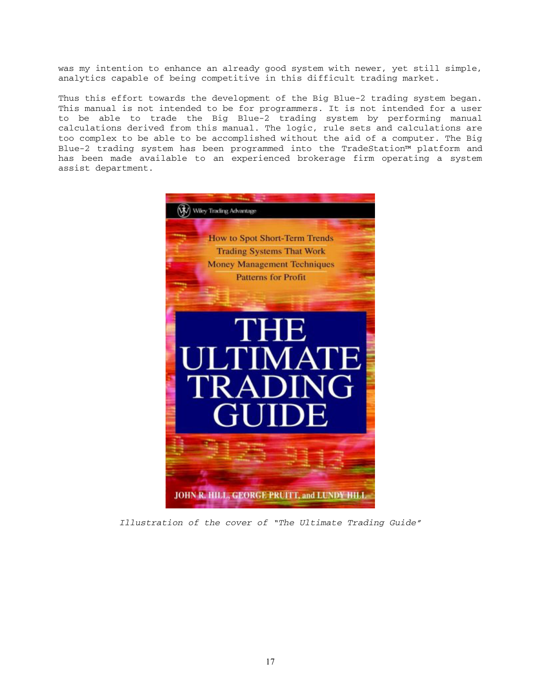was my intention to enhance an already good system with newer, yet still simple, analytics capable of being competitive in this difficult trading market.

Thus this effort towards the development of the Big Blue-2 trading system began. This manual is not intended to be for programmers. It is not intended for a user to be able to trade the Big Blue-2 trading system by performing manual calculations derived from this manual. The logic, rule sets and calculations are too complex to be able to be accomplished without the aid of a computer. The Big Blue-2 trading system has been programmed into the TradeStation™ platform and has been made available to an experienced brokerage firm operating a system assist department.



*Illustration of the cover of "The Ultimate Trading Guide"*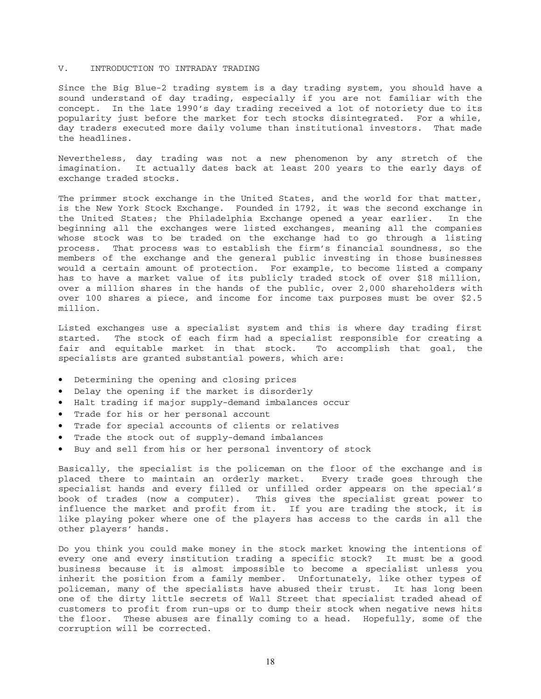#### V. INTRODUCTION TO INTRADAY TRADING

Since the Big Blue-2 trading system is a day trading system, you should have a sound understand of day trading, especially if you are not familiar with the concept. In the late 1990's day trading received a lot of notoriety due to its popularity just before the market for tech stocks disintegrated. For a while, day traders executed more daily volume than institutional investors. That made the headlines.

Nevertheless, day trading was not a new phenomenon by any stretch of the imagination. It actually dates back at least 200 years to the early days of exchange traded stocks.

The primmer stock exchange in the United States, and the world for that matter, is the New York Stock Exchange. Founded in 1792, it was the second exchange in the United States; the Philadelphia Exchange opened a year earlier. In the beginning all the exchanges were listed exchanges, meaning all the companies whose stock was to be traded on the exchange had to go through a listing process. That process was to establish the firm's financial soundness, so the members of the exchange and the general public investing in those businesses would a certain amount of protection. For example, to become listed a company has to have a market value of its publicly traded stock of over \$18 million, over a million shares in the hands of the public, over 2,000 shareholders with over 100 shares a piece, and income for income tax purposes must be over \$2.5 million.

Listed exchanges use a specialist system and this is where day trading first started. The stock of each firm had a specialist responsible for creating a fair and equitable market in that stock. To accomplish that goal, the specialists are granted substantial powers, which are:

- Determining the opening and closing prices
- Delay the opening if the market is disorderly
- Halt trading if major supply-demand imbalances occur
- Trade for his or her personal account
- Trade for special accounts of clients or relatives
- Trade the stock out of supply-demand imbalances
- Buy and sell from his or her personal inventory of stock

Basically, the specialist is the policeman on the floor of the exchange and is placed there to maintain an orderly market. Every trade goes through the specialist hands and every filled or unfilled order appears on the special's book of trades (now a computer). This gives the specialist great power to influence the market and profit from it. If you are trading the stock, it is like playing poker where one of the players has access to the cards in all the other players' hands.

Do you think you could make money in the stock market knowing the intentions of every one and every institution trading a specific stock? It must be a good business because it is almost impossible to become a specialist unless you inherit the position from a family member. Unfortunately, like other types of policeman, many of the specialists have abused their trust. It has long been one of the dirty little secrets of Wall Street that specialist traded ahead of customers to profit from run-ups or to dump their stock when negative news hits the floor. These abuses are finally coming to a head. Hopefully, some of the corruption will be corrected.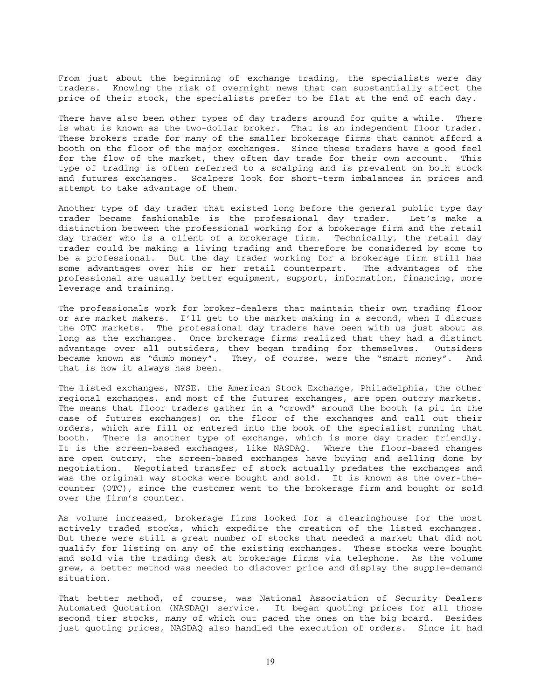From just about the beginning of exchange trading, the specialists were day traders. Knowing the risk of overnight news that can substantially affect the price of their stock, the specialists prefer to be flat at the end of each day.

There have also been other types of day traders around for quite a while. There is what is known as the two-dollar broker. That is an independent floor trader. These brokers trade for many of the smaller brokerage firms that cannot afford a booth on the floor of the major exchanges. Since these traders have a good feel for the flow of the market, they often day trade for their own account. This type of trading is often referred to a scalping and is prevalent on both stock and futures exchanges. Scalpers look for short-term imbalances in prices and attempt to take advantage of them.

Another type of day trader that existed long before the general public type day trader became fashionable is the professional day trader. Let's make a distinction between the professional working for a brokerage firm and the retail day trader who is a client of a brokerage firm. Technically, the retail day trader could be making a living trading and therefore be considered by some to be a professional. But the day trader working for a brokerage firm still has some advantages over his or her retail counterpart. The advantages of the professional are usually better equipment, support, information, financing, more leverage and training.

The professionals work for broker-dealers that maintain their own trading floor or are market makers. I'll get to the market making in a second, when I discuss the OTC markets. The professional day traders have been with us just about as long as the exchanges. Once brokerage firms realized that they had a distinct advantage over all outsiders, they began trading for themselves. Outsiders became known as "dumb money". They, of course, were the "smart money". And that is how it always has been.

The listed exchanges, NYSE, the American Stock Exchange, Philadelphia, the other regional exchanges, and most of the futures exchanges, are open outcry markets. The means that floor traders gather in a "crowd" around the booth (a pit in the case of futures exchanges) on the floor of the exchanges and call out their orders, which are fill or entered into the book of the specialist running that booth. There is another type of exchange, which is more day trader friendly. It is the screen-based exchanges, like NASDAQ. Where the floor-based changes are open outcry, the screen-based exchanges have buying and selling done by negotiation. Negotiated transfer of stock actually predates the exchanges and was the original way stocks were bought and sold. It is known as the over-thecounter (OTC), since the customer went to the brokerage firm and bought or sold over the firm's counter.

As volume increased, brokerage firms looked for a clearinghouse for the most actively traded stocks, which expedite the creation of the listed exchanges. But there were still a great number of stocks that needed a market that did not qualify for listing on any of the existing exchanges. These stocks were bought and sold via the trading desk at brokerage firms via telephone. As the volume grew, a better method was needed to discover price and display the supple-demand situation.

That better method, of course, was National Association of Security Dealers Automated Quotation (NASDAQ) service. It began quoting prices for all those second tier stocks, many of which out paced the ones on the big board. Besides just quoting prices, NASDAQ also handled the execution of orders. Since it had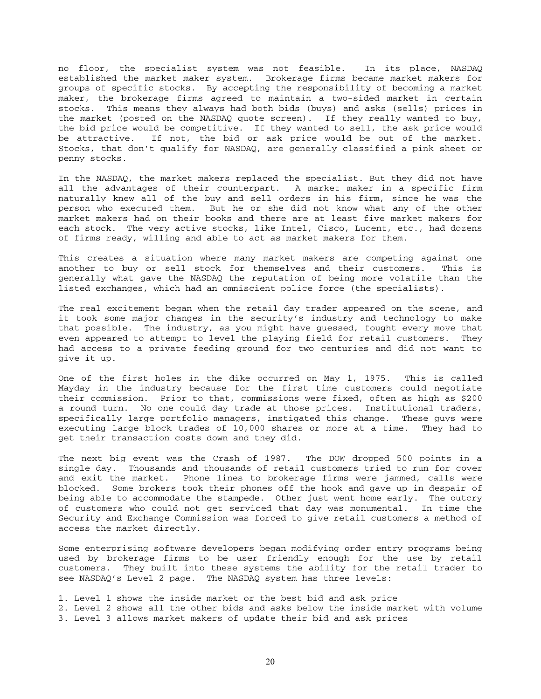no floor, the specialist system was not feasible. In its place, NASDAQ established the market maker system. Brokerage firms became market makers for groups of specific stocks. By accepting the responsibility of becoming a market maker, the brokerage firms agreed to maintain a two-sided market in certain stocks. This means they always had both bids (buys) and asks (sells) prices in the market (posted on the NASDAQ quote screen). If they really wanted to buy, the bid price would be competitive. If they wanted to sell, the ask price would be attractive. If not, the bid or ask price would be out of the market. Stocks, that don't qualify for NASDAQ, are generally classified a pink sheet or penny stocks.

In the NASDAQ, the market makers replaced the specialist. But they did not have all the advantages of their counterpart. A market maker in a specific firm naturally knew all of the buy and sell orders in his firm, since he was the person who executed them. But he or she did not know what any of the other market makers had on their books and there are at least five market makers for each stock. The very active stocks, like Intel, Cisco, Lucent, etc., had dozens of firms ready, willing and able to act as market makers for them.

This creates a situation where many market makers are competing against one another to buy or sell stock for themselves and their customers. This is generally what gave the NASDAQ the reputation of being more volatile than the listed exchanges, which had an omniscient police force (the specialists).

The real excitement began when the retail day trader appeared on the scene, and it took some major changes in the security's industry and technology to make that possible. The industry, as you might have guessed, fought every move that even appeared to attempt to level the playing field for retail customers. They had access to a private feeding ground for two centuries and did not want to give it up.

One of the first holes in the dike occurred on May 1, 1975. This is called Mayday in the industry because for the first time customers could negotiate their commission. Prior to that, commissions were fixed, often as high as \$200 a round turn. No one could day trade at those prices. Institutional traders, specifically large portfolio managers, instigated this change. These guys were executing large block trades of 10,000 shares or more at a time. They had to get their transaction costs down and they did.

The next big event was the Crash of 1987. The DOW dropped 500 points in a single day. Thousands and thousands of retail customers tried to run for cover and exit the market. Phone lines to brokerage firms were jammed, calls were blocked. Some brokers took their phones off the hook and gave up in despair of being able to accommodate the stampede. Other just went home early. The outcry of customers who could not get serviced that day was monumental. In time the Security and Exchange Commission was forced to give retail customers a method of access the market directly.

Some enterprising software developers began modifying order entry programs being used by brokerage firms to be user friendly enough for the use by retail customers. They built into these systems the ability for the retail trader to see NASDAQ's Level 2 page. The NASDAQ system has three levels:

1. Level 1 shows the inside market or the best bid and ask price

- 2. Level 2 shows all the other bids and asks below the inside market with volume
- 3. Level 3 allows market makers of update their bid and ask prices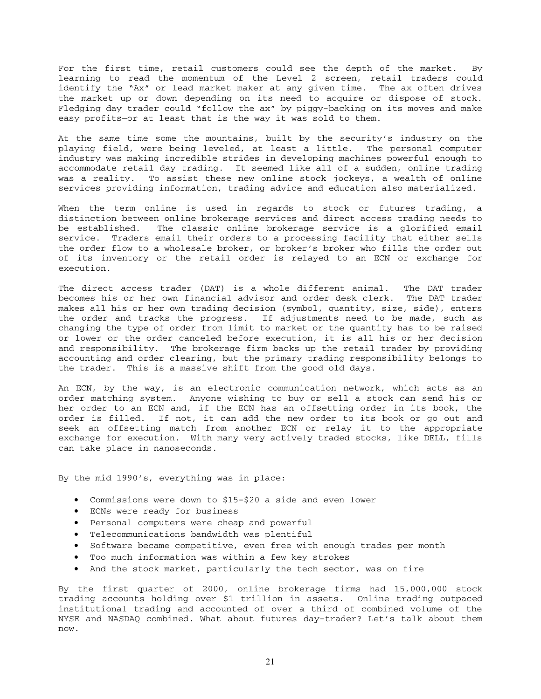For the first time, retail customers could see the depth of the market. By learning to read the momentum of the Level 2 screen, retail traders could identify the "Ax" or lead market maker at any given time. The ax often drives the market up or down depending on its need to acquire or dispose of stock. Fledging day trader could "follow the ax" by piggy-backing on its moves and make easy profits—or at least that is the way it was sold to them.

At the same time some the mountains, built by the security's industry on the playing field, were being leveled, at least a little. The personal computer industry was making incredible strides in developing machines powerful enough to accommodate retail day trading. It seemed like all of a sudden, online trading was a reality. To assist these new online stock jockeys, a wealth of online services providing information, trading advice and education also materialized.

When the term online is used in regards to stock or futures trading, a distinction between online brokerage services and direct access trading needs to be established. The classic online brokerage service is a glorified email service. Traders email their orders to a processing facility that either sells the order flow to a wholesale broker, or broker's broker who fills the order out of its inventory or the retail order is relayed to an ECN or exchange for execution.

The direct access trader (DAT) is a whole different animal. The DAT trader becomes his or her own financial advisor and order desk clerk. The DAT trader makes all his or her own trading decision (symbol, quantity, size, side), enters the order and tracks the progress. If adjustments need to be made, such as changing the type of order from limit to market or the quantity has to be raised or lower or the order canceled before execution, it is all his or her decision and responsibility. The brokerage firm backs up the retail trader by providing accounting and order clearing, but the primary trading responsibility belongs to the trader. This is a massive shift from the good old days.

An ECN, by the way, is an electronic communication network, which acts as an order matching system. Anyone wishing to buy or sell a stock can send his or her order to an ECN and, if the ECN has an offsetting order in its book, the order is filled. If not, it can add the new order to its book or go out and seek an offsetting match from another ECN or relay it to the appropriate exchange for execution. With many very actively traded stocks, like DELL, fills can take place in nanoseconds.

By the mid 1990's, everything was in place:

- Commissions were down to \$15-\$20 a side and even lower
- ECNs were ready for business
- Personal computers were cheap and powerful
- Telecommunications bandwidth was plentiful
- Software became competitive, even free with enough trades per month
- Too much information was within a few key strokes
- And the stock market, particularly the tech sector, was on fire

By the first quarter of 2000, online brokerage firms had 15,000,000 stock trading accounts holding over \$1 trillion in assets. Online trading outpaced institutional trading and accounted of over a third of combined volume of the NYSE and NASDAQ combined. What about futures day-trader? Let's talk about them now.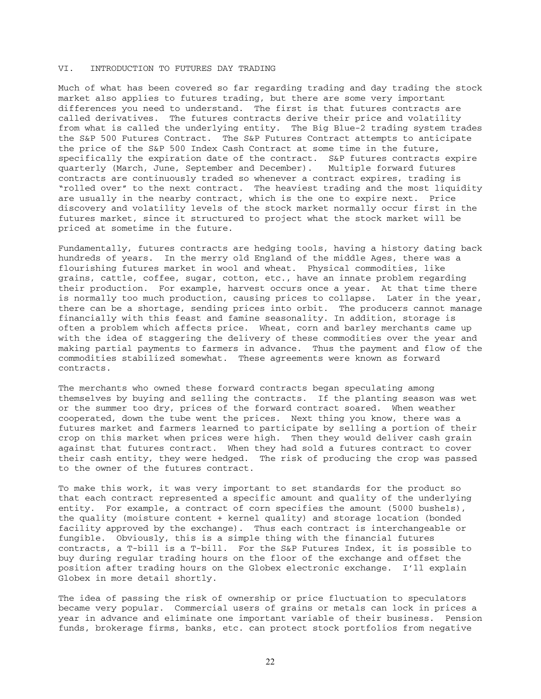#### VI. INTRODUCTION TO FUTURES DAY TRADING

Much of what has been covered so far regarding trading and day trading the stock market also applies to futures trading, but there are some very important differences you need to understand. The first is that futures contracts are called derivatives. The futures contracts derive their price and volatility from what is called the underlying entity. The Big Blue-2 trading system trades the S&P 500 Futures Contract. The S&P Futures Contract attempts to anticipate the price of the S&P 500 Index Cash Contract at some time in the future, specifically the expiration date of the contract. S&P futures contracts expire quarterly (March, June, September and December). Multiple forward futures contracts are continuously traded so whenever a contract expires, trading is "rolled over" to the next contract. The heaviest trading and the most liquidity are usually in the nearby contract, which is the one to expire next. Price discovery and volatility levels of the stock market normally occur first in the futures market, since it structured to project what the stock market will be priced at sometime in the future.

Fundamentally, futures contracts are hedging tools, having a history dating back hundreds of years. In the merry old England of the middle Ages, there was a flourishing futures market in wool and wheat. Physical commodities, like grains, cattle, coffee, sugar, cotton, etc., have an innate problem regarding their production. For example, harvest occurs once a year. At that time there is normally too much production, causing prices to collapse. Later in the year, there can be a shortage, sending prices into orbit. The producers cannot manage financially with this feast and famine seasonality. In addition, storage is often a problem which affects price. Wheat, corn and barley merchants came up with the idea of staggering the delivery of these commodities over the year and making partial payments to farmers in advance. Thus the payment and flow of the commodities stabilized somewhat. These agreements were known as forward contracts.

The merchants who owned these forward contracts began speculating among themselves by buying and selling the contracts. If the planting season was wet or the summer too dry, prices of the forward contract soared. When weather cooperated, down the tube went the prices. Next thing you know, there was a futures market and farmers learned to participate by selling a portion of their crop on this market when prices were high. Then they would deliver cash grain against that futures contract. When they had sold a futures contract to cover their cash entity, they were hedged. The risk of producing the crop was passed to the owner of the futures contract.

To make this work, it was very important to set standards for the product so that each contract represented a specific amount and quality of the underlying entity. For example, a contract of corn specifies the amount (5000 bushels), the quality (moisture content + kernel quality) and storage location (bonded facility approved by the exchange). Thus each contract is interchangeable or fungible. Obviously, this is a simple thing with the financial futures contracts, a T-bill is a T-bill. For the S&P Futures Index, it is possible to buy during regular trading hours on the floor of the exchange and offset the position after trading hours on the Globex electronic exchange. I'll explain Globex in more detail shortly.

The idea of passing the risk of ownership or price fluctuation to speculators became very popular. Commercial users of grains or metals can lock in prices a year in advance and eliminate one important variable of their business. Pension funds, brokerage firms, banks, etc. can protect stock portfolios from negative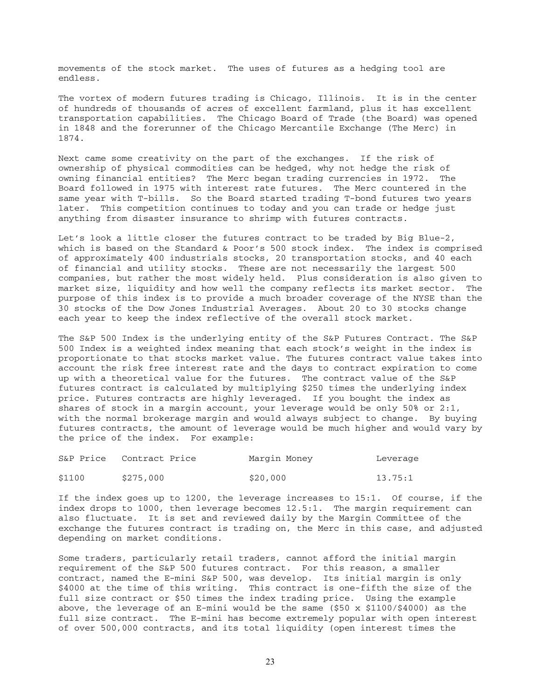movements of the stock market. The uses of futures as a hedging tool are endless.

The vortex of modern futures trading is Chicago, Illinois. It is in the center of hundreds of thousands of acres of excellent farmland, plus it has excellent transportation capabilities. The Chicago Board of Trade (the Board) was opened in 1848 and the forerunner of the Chicago Mercantile Exchange (The Merc) in 1874.

Next came some creativity on the part of the exchanges. If the risk of ownership of physical commodities can be hedged, why not hedge the risk of owning financial entities? The Merc began trading currencies in 1972. The Board followed in 1975 with interest rate futures. The Merc countered in the same year with T-bills. So the Board started trading T-bond futures two years later. This competition continues to today and you can trade or hedge just anything from disaster insurance to shrimp with futures contracts.

Let's look a little closer the futures contract to be traded by Big Blue-2, which is based on the Standard & Poor's 500 stock index. The index is comprised of approximately 400 industrials stocks, 20 transportation stocks, and 40 each of financial and utility stocks. These are not necessarily the largest 500 companies, but rather the most widely held. Plus consideration is also given to market size, liquidity and how well the company reflects its market sector. The purpose of this index is to provide a much broader coverage of the NYSE than the 30 stocks of the Dow Jones Industrial Averages. About 20 to 30 stocks change each year to keep the index reflective of the overall stock market.

The S&P 500 Index is the underlying entity of the S&P Futures Contract. The S&P 500 Index is a weighted index meaning that each stock's weight in the index is proportionate to that stocks market value. The futures contract value takes into account the risk free interest rate and the days to contract expiration to come up with a theoretical value for the futures. The contract value of the S&P futures contract is calculated by multiplying \$250 times the underlying index price. Futures contracts are highly leveraged. If you bought the index as shares of stock in a margin account, your leverage would be only 50% or 2:1, with the normal brokerage margin and would always subject to change. By buying futures contracts, the amount of leverage would be much higher and would vary by the price of the index. For example:

|        | S&P Price Contract Price | Margin Money | Leverage |
|--------|--------------------------|--------------|----------|
| \$1100 | \$275,000                | \$20,000     | 13.75:1  |

If the index goes up to 1200, the leverage increases to 15:1. Of course, if the index drops to 1000, then leverage becomes 12.5:1. The margin requirement can also fluctuate. It is set and reviewed daily by the Margin Committee of the exchange the futures contract is trading on, the Merc in this case, and adjusted depending on market conditions.

Some traders, particularly retail traders, cannot afford the initial margin requirement of the S&P 500 futures contract. For this reason, a smaller contract, named the E-mini S&P 500, was develop. Its initial margin is only \$4000 at the time of this writing. This contract is one-fifth the size of the full size contract or \$50 times the index trading price. Using the example above, the leverage of an E-mini would be the same  $(550 \times 1100 / 54000)$  as the full size contract. The E-mini has become extremely popular with open interest of over 500,000 contracts, and its total liquidity (open interest times the

23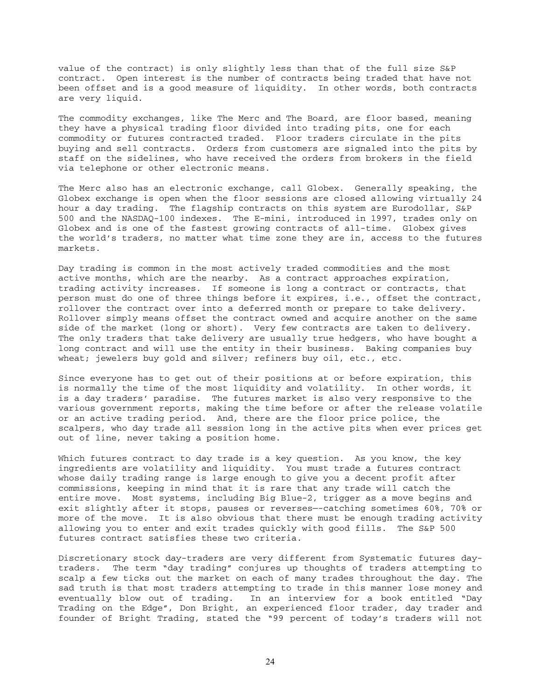value of the contract) is only slightly less than that of the full size S&P contract. Open interest is the number of contracts being traded that have not been offset and is a good measure of liquidity. In other words, both contracts are very liquid.

The commodity exchanges, like The Merc and The Board, are floor based, meaning they have a physical trading floor divided into trading pits, one for each commodity or futures contracted traded. Floor traders circulate in the pits buying and sell contracts. Orders from customers are signaled into the pits by staff on the sidelines, who have received the orders from brokers in the field via telephone or other electronic means.

The Merc also has an electronic exchange, call Globex. Generally speaking, the Globex exchange is open when the floor sessions are closed allowing virtually 24 hour a day trading. The flagship contracts on this system are Eurodollar, S&P 500 and the NASDAQ-100 indexes. The E-mini, introduced in 1997, trades only on Globex and is one of the fastest growing contracts of all-time. Globex gives the world's traders, no matter what time zone they are in, access to the futures markets.

Day trading is common in the most actively traded commodities and the most active months, which are the nearby. As a contract approaches expiration, trading activity increases. If someone is long a contract or contracts, that person must do one of three things before it expires, i.e., offset the contract, rollover the contract over into a deferred month or prepare to take delivery. Rollover simply means offset the contract owned and acquire another on the same side of the market (long or short). Very few contracts are taken to delivery. The only traders that take delivery are usually true hedgers, who have bought a long contract and will use the entity in their business. Baking companies buy wheat; jewelers buy gold and silver; refiners buy oil, etc., etc.

Since everyone has to get out of their positions at or before expiration, this is normally the time of the most liquidity and volatility. In other words, it is a day traders' paradise. The futures market is also very responsive to the various government reports, making the time before or after the release volatile or an active trading period. And, there are the floor price police, the scalpers, who day trade all session long in the active pits when ever prices get out of line, never taking a position home.

Which futures contract to day trade is a key question. As you know, the key ingredients are volatility and liquidity. You must trade a futures contract whose daily trading range is large enough to give you a decent profit after commissions, keeping in mind that it is rare that any trade will catch the entire move. Most systems, including Big Blue-2, trigger as a move begins and exit slightly after it stops, pauses or reverses—-catching sometimes 60%, 70% or more of the move. It is also obvious that there must be enough trading activity allowing you to enter and exit trades quickly with good fills. The S&P 500 futures contract satisfies these two criteria.

Discretionary stock day-traders are very different from Systematic futures daytraders. The term "day trading" conjures up thoughts of traders attempting to scalp a few ticks out the market on each of many trades throughout the day. The sad truth is that most traders attempting to trade in this manner lose money and eventually blow out of trading. In an interview for a book entitled "Day Trading on the Edge", Don Bright, an experienced floor trader, day trader and founder of Bright Trading, stated the "99 percent of today's traders will not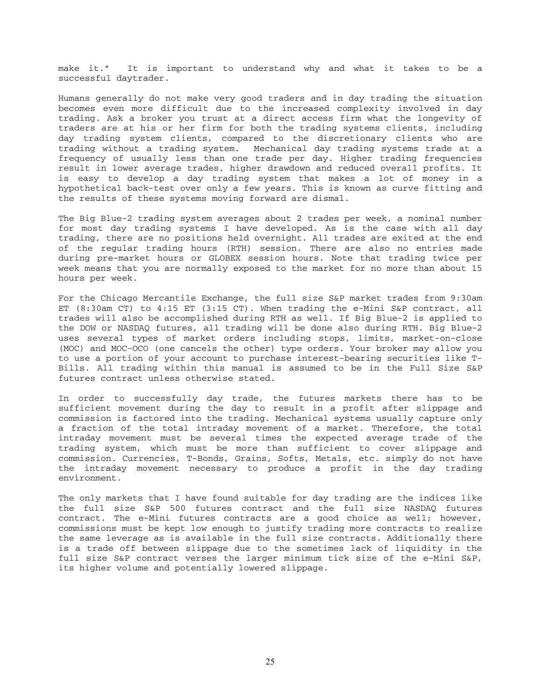make it." It is important to understand why and what it takes to be a successful daytrader.

Humans generally do not make very good traders and in day trading the situation becomes even more difficult due to the increased complexity involved in day trading. Ask a broker you trust at a direct access firm what the longevity of traders are at his or her firm for both the trading systems clients, including day trading system clients, compared to the discretionary clients who are trading without a trading system. Mechanical day trading systems trade at a frequency of usually less than one trade per day. Higher trading frequencies result in lower average trades, higher drawdown and reduced overall profits. It is easy to develop a day trading system that makes a lot of money in a hypothetical back-test over only a few years. This is known as curve fitting and the results of these systems moving forward are dismal.

The Big Blue-2 trading system averages about 2 trades per week, a nominal number for most day trading systems I have developed. As is the case with all day trading, there are no positions held overnight. All trades are exited at the end of the regular trading hours (RTH) session. There are also no entries made during pre-market hours or GLOBEX session hours. Note that trading twice per week means that you are normally exposed to the market for no more than about 15 hours per week.

For the Chicago Mercantile Exchange, the full size S&P market trades from 9:30am ET (8:30am CT) to 4:15 ET (3:15 CT). When trading the e-Mini S&P contract, all trades will also be accomplished during RTH as well. If Big Blue-2 is applied to the DOW or NASDAQ futures, all trading will be done also during RTH. Big Blue-2 uses several types of market orders including stops, limits, market-on-close (MOC) and MOC-OCO (one cancels the other) type orders. Your broker may allow you to use a portion of your account to purchase interest-bearing securities like T-Bills. All trading within this manual is assumed to be in the Full Size S&P futures contract unless otherwise stated.

In order to successfully day trade, the futures markets there has to be sufficient movement during the day to result in a profit after slippage and commission is factored into the trading. Mechanical systems usually capture only a fraction of the total intraday movement of a market. Therefore, the total intraday movement must be several times the expected average trade of the trading system, which must be more than sufficient to cover slippage and commission. Currencies, T-Bonds, Grains, Softs, Metals, etc. simply do not have the intraday movement necessary to produce a profit in the day trading environment.

The only markets that I have found suitable for day trading are the indices like the full size S&P 500 futures contract and the full size NASDAQ futures contract. The e-Mini futures contracts are a good choice as well; however, commissions must be kept low enough to justify trading more contracts to realize the same leverage as is available in the full size contracts. Additionally there is a trade off between slippage due to the sometimes lack of liquidity in the full size S&P contract verses the larger minimum tick size of the e-Mini S&P, its higher volume and potentially lowered slippage.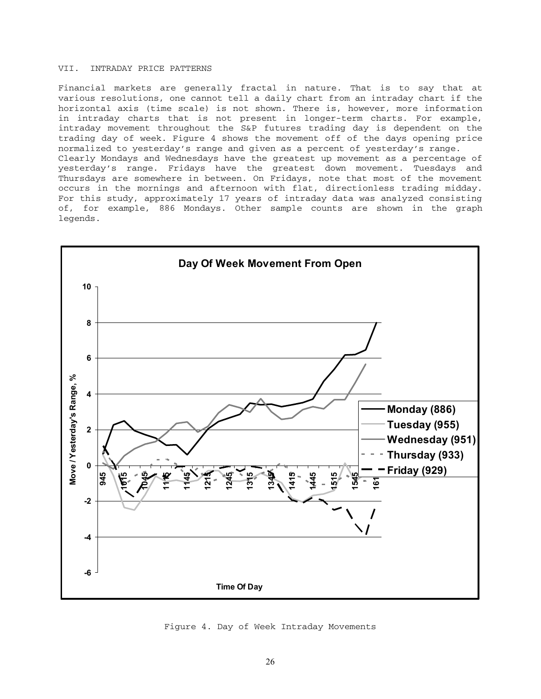# VII. INTRADAY PRICE PATTERNS

Financial markets are generally fractal in nature. That is to say that at various resolutions, one cannot tell a daily chart from an intraday chart if the horizontal axis (time scale) is not shown. There is, however, more information in intraday charts that is not present in longer-term charts. For example, intraday movement throughout the S&P futures trading day is dependent on the trading day of week. Figure 4 shows the movement off of the days opening price normalized to yesterday's range and given as a percent of yesterday's range. Clearly Mondays and Wednesdays have the greatest up movement as a percentage of yesterday's range. Fridays have the greatest down movement. Tuesdays and Thursdays are somewhere in between. On Fridays, note that most of the movement occurs in the mornings and afternoon with flat, directionless trading midday. For this study, approximately 17 years of intraday data was analyzed consisting of, for example, 886 Mondays. Other sample counts are shown in the graph legends.



Figure 4. Day of Week Intraday Movements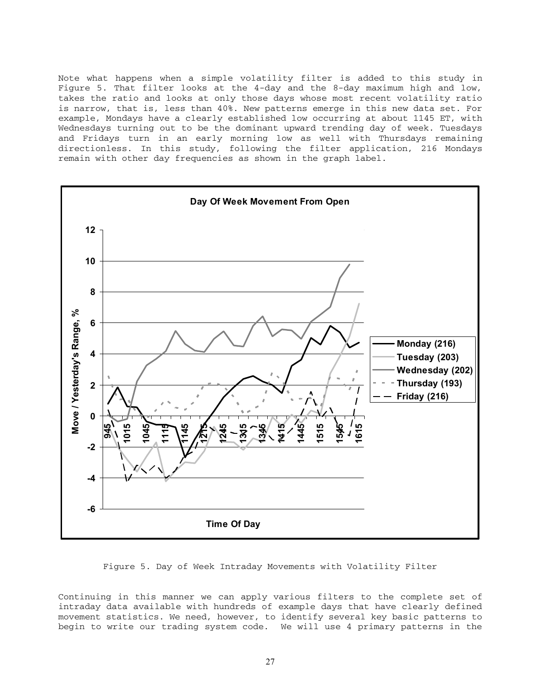Note what happens when a simple volatility filter is added to this study in Figure 5. That filter looks at the 4-day and the 8-day maximum high and low, takes the ratio and looks at only those days whose most recent volatility ratio is narrow, that is, less than 40%. New patterns emerge in this new data set. For example, Mondays have a clearly established low occurring at about 1145 ET, with Wednesdays turning out to be the dominant upward trending day of week. Tuesdays and Fridays turn in an early morning low as well with Thursdays remaining directionless. In this study, following the filter application, 216 Mondays remain with other day frequencies as shown in the graph label.



Figure 5. Day of Week Intraday Movements with Volatility Filter

Continuing in this manner we can apply various filters to the complete set of intraday data available with hundreds of example days that have clearly defined movement statistics. We need, however, to identify several key basic patterns to begin to write our trading system code. We will use 4 primary patterns in the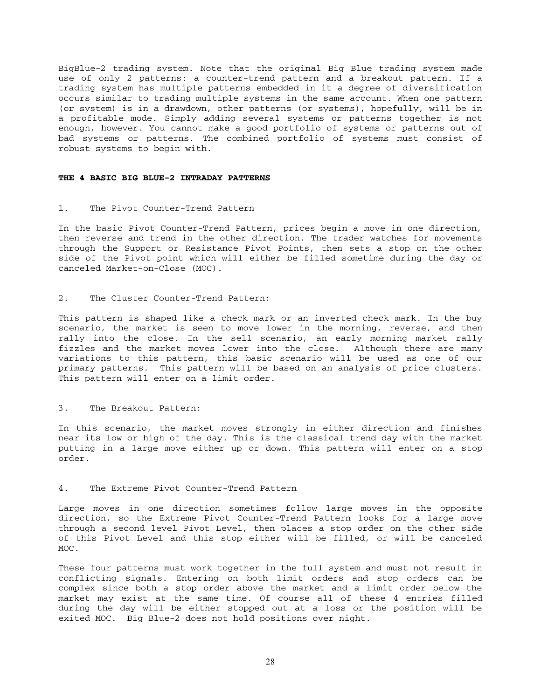BigBlue-2 trading system. Note that the original Big Blue trading system made use of only 2 patterns: a counter-trend pattern and a breakout pattern. If a trading system has multiple patterns embedded in it a degree of diversification occurs similar to trading multiple systems in the same account. When one pattern (or system) is in a drawdown, other patterns (or systems), hopefully, will be in a profitable mode. Simply adding several systems or patterns together is not enough, however. You cannot make a good portfolio of systems or patterns out of bad systems or patterns. The combined portfolio of systems must consist of robust systems to begin with.

#### **THE 4 BASIC BIG BLUE-2 INTRADAY PATTERNS**

#### 1. The Pivot Counter-Trend Pattern

In the basic Pivot Counter-Trend Pattern, prices begin a move in one direction, then reverse and trend in the other direction. The trader watches for movements through the Support or Resistance Pivot Points, then sets a stop on the other side of the Pivot point which will either be filled sometime during the day or canceled Market-on-Close (MOC).

#### 2. The Cluster Counter-Trend Pattern:

This pattern is shaped like a check mark or an inverted check mark. In the buy scenario, the market is seen to move lower in the morning, reverse, and then rally into the close. In the sell scenario, an early morning market rally fizzles and the market moves lower into the close. Although there are many variations to this pattern, this basic scenario will be used as one of our primary patterns. This pattern will be based on an analysis of price clusters. This pattern will enter on a limit order.

#### 3. The Breakout Pattern:

In this scenario, the market moves strongly in either direction and finishes near its low or high of the day. This is the classical trend day with the market putting in a large move either up or down. This pattern will enter on a stop order.

#### 4. The Extreme Pivot Counter-Trend Pattern

Large moves in one direction sometimes follow large moves in the opposite direction, so the Extreme Pivot Counter-Trend Pattern looks for a large move through a second level Pivot Level, then places a stop order on the other side of this Pivot Level and this stop either will be filled, or will be canceled MOC.

These four patterns must work together in the full system and must not result in conflicting signals. Entering on both limit orders and stop orders can be complex since both a stop order above the market and a limit order below the market may exist at the same time. Of course all of these 4 entries filled during the day will be either stopped out at a loss or the position will be exited MOC. Big Blue-2 does not hold positions over night.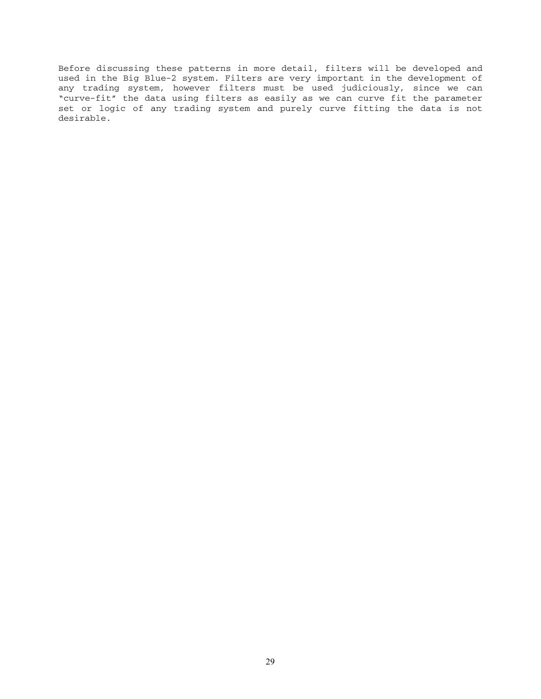Before discussing these patterns in more detail, filters will be developed and used in the Big Blue-2 system. Filters are very important in the development of any trading system, however filters must be used judiciously, since we can "curve-fit" the data using filters as easily as we can curve fit the parameter set or logic of any trading system and purely curve fitting the data is not desirable.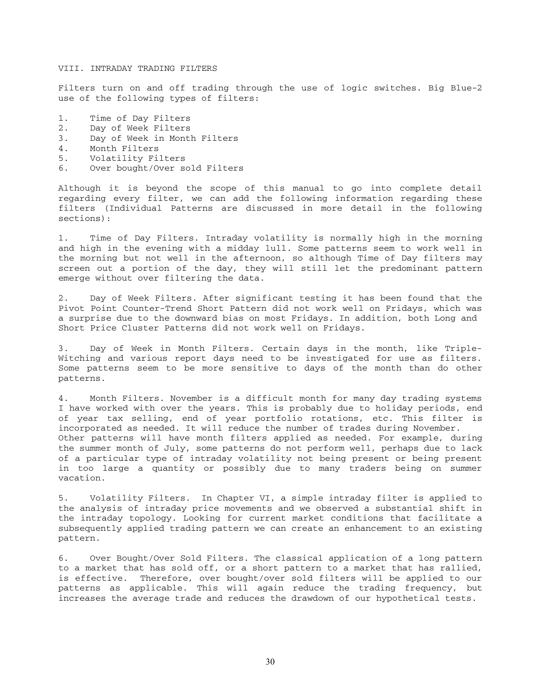#### VIII. INTRADAY TRADING FILTERS

Filters turn on and off trading through the use of logic switches. Big Blue-2 use of the following types of filters:

- 1. Time of Day Filters
- 2. Day of Week Filters
- 3. Day of Week in Month Filters
- 4. Month Filters
- 5. Volatility Filters
- 6. Over bought/Over sold Filters

Although it is beyond the scope of this manual to go into complete detail regarding every filter, we can add the following information regarding these filters (Individual Patterns are discussed in more detail in the following sections):

1. Time of Day Filters. Intraday volatility is normally high in the morning and high in the evening with a midday lull. Some patterns seem to work well in the morning but not well in the afternoon, so although Time of Day filters may screen out a portion of the day, they will still let the predominant pattern emerge without over filtering the data.

2. Day of Week Filters. After significant testing it has been found that the Pivot Point Counter-Trend Short Pattern did not work well on Fridays, which was a surprise due to the downward bias on most Fridays. In addition, both Long and Short Price Cluster Patterns did not work well on Fridays.

3. Day of Week in Month Filters. Certain days in the month, like Triple-Witching and various report days need to be investigated for use as filters. Some patterns seem to be more sensitive to days of the month than do other patterns.

4. Month Filters. November is a difficult month for many day trading systems I have worked with over the years. This is probably due to holiday periods, end of year tax selling, end of year portfolio rotations, etc. This filter is incorporated as needed. It will reduce the number of trades during November. Other patterns will have month filters applied as needed. For example, during the summer month of July, some patterns do not perform well, perhaps due to lack of a particular type of intraday volatility not being present or being present in too large a quantity or possibly due to many traders being on summer vacation.

5. Volatility Filters. In Chapter VI, a simple intraday filter is applied to the analysis of intraday price movements and we observed a substantial shift in the intraday topology. Looking for current market conditions that facilitate a subsequently applied trading pattern we can create an enhancement to an existing pattern.

6. Over Bought/Over Sold Filters. The classical application of a long pattern to a market that has sold off, or a short pattern to a market that has rallied, is effective. Therefore, over bought/over sold filters will be applied to our patterns as applicable. This will again reduce the trading frequency, but increases the average trade and reduces the drawdown of our hypothetical tests.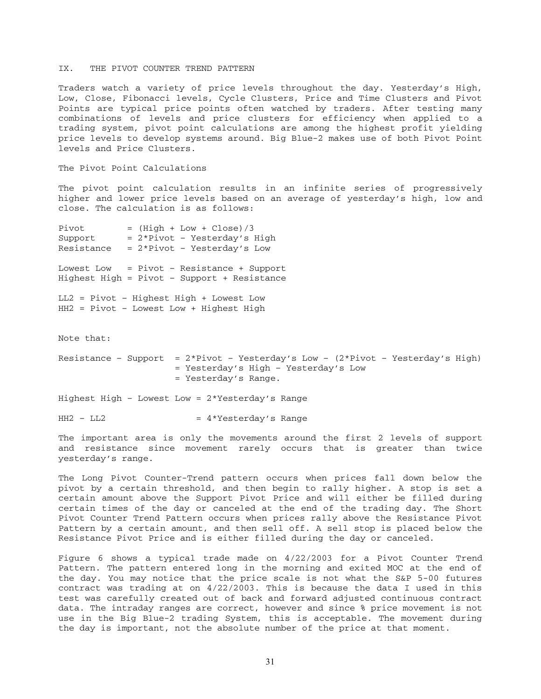#### IX. THE PIVOT COUNTER TREND PATTERN

Traders watch a variety of price levels throughout the day. Yesterday's High, Low, Close, Fibonacci levels, Cycle Clusters, Price and Time Clusters and Pivot Points are typical price points often watched by traders. After testing many combinations of levels and price clusters for efficiency when applied to a trading system, pivot point calculations are among the highest profit yielding price levels to develop systems around. Big Blue-2 makes use of both Pivot Point levels and Price Clusters.

The Pivot Point Calculations

The pivot point calculation results in an infinite series of progressively higher and lower price levels based on an average of yesterday's high, low and close. The calculation is as follows:

 $Pivot = (High + Low + Close) / 3$ Support  $= 2*Pivot - Yesterday's High$ Resistance =  $2*Pivot$  - Yesterday's Low Lowest Low = Pivot – Resistance + Support Highest High = Pivot – Support + Resistance LL2 = Pivot – Highest High + Lowest Low HH2 = Pivot – Lowest Low + Highest High Note that: Resistance - Support =  $2*Pivot$  - Yesterday's Low -  $(2*Pivot$  - Yesterday's High) = Yesterday's High – Yesterday's Low = Yesterday's Range.

Highest High – Lowest Low = 2\*Yesterday's Range

 $HH2 - LL2$  = 4\*Yesterday's Range

The important area is only the movements around the first 2 levels of support and resistance since movement rarely occurs that is greater than twice yesterday's range.

The Long Pivot Counter-Trend pattern occurs when prices fall down below the pivot by a certain threshold, and then begin to rally higher. A stop is set a certain amount above the Support Pivot Price and will either be filled during certain times of the day or canceled at the end of the trading day. The Short Pivot Counter Trend Pattern occurs when prices rally above the Resistance Pivot Pattern by a certain amount, and then sell off. A sell stop is placed below the Resistance Pivot Price and is either filled during the day or canceled.

Figure 6 shows a typical trade made on 4/22/2003 for a Pivot Counter Trend Pattern. The pattern entered long in the morning and exited MOC at the end of the day. You may notice that the price scale is not what the S&P 5-00 futures contract was trading at on 4/22/2003. This is because the data I used in this test was carefully created out of back and forward adjusted continuous contract data. The intraday ranges are correct, however and since % price movement is not use in the Big Blue-2 trading System, this is acceptable. The movement during the day is important, not the absolute number of the price at that moment.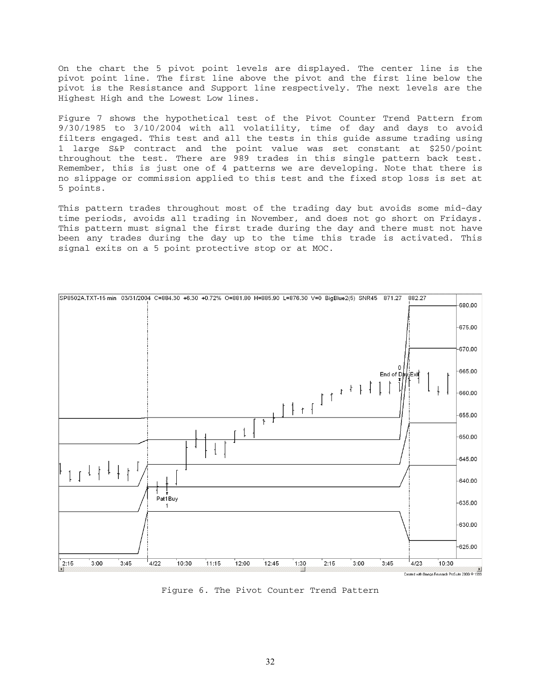On the chart the 5 pivot point levels are displayed. The center line is the pivot point line. The first line above the pivot and the first line below the pivot is the Resistance and Support line respectively. The next levels are the Highest High and the Lowest Low lines.

Figure 7 shows the hypothetical test of the Pivot Counter Trend Pattern from 9/30/1985 to 3/10/2004 with all volatility, time of day and days to avoid filters engaged. This test and all the tests in this guide assume trading using 1 large S&P contract and the point value was set constant at \$250/point throughout the test. There are 989 trades in this single pattern back test. Remember, this is just one of 4 patterns we are developing. Note that there is no slippage or commission applied to this test and the fixed stop loss is set at 5 points.

This pattern trades throughout most of the trading day but avoids some mid-day time periods, avoids all trading in November, and does not go short on Fridays. This pattern must signal the first trade during the day and there must not have been any trades during the day up to the time this trade is activated. This signal exits on a 5 point protective stop or at MOC.



Figure 6. The Pivot Counter Trend Pattern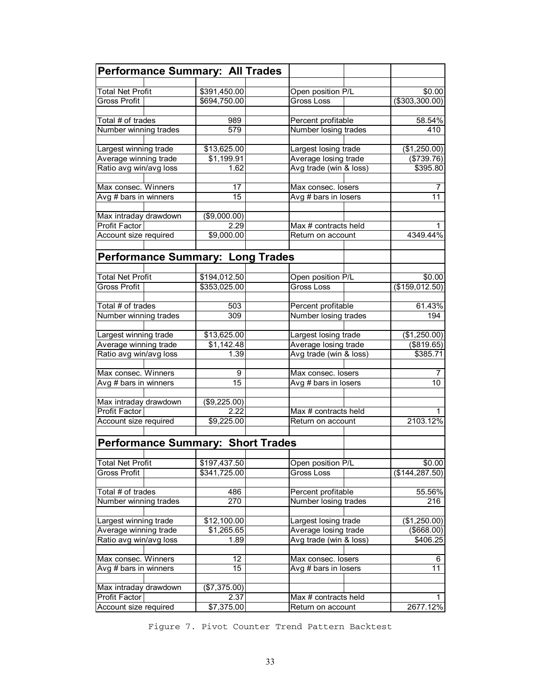| <b>Performance Summary: All Trades</b>         |                              |                                        |                             |
|------------------------------------------------|------------------------------|----------------------------------------|-----------------------------|
|                                                |                              |                                        |                             |
| <b>Total Net Profit</b><br><b>Gross Profit</b> | \$391,450.00<br>\$694,750.00 | Open position P/L<br><b>Gross Loss</b> | \$0.00<br>$($ \$303,300.00) |
|                                                |                              |                                        |                             |
| Total # of trades                              | 989                          | Percent profitable                     | 58.54%                      |
| Number winning trades                          | 579                          | Number losing trades                   | 410                         |
|                                                |                              |                                        |                             |
| Largest winning trade                          | \$13,625.00                  | Largest losing trade                   | (\$1,250.00)                |
| Average winning trade                          | \$1,199.91                   | Average losing trade                   | (\$739.76)                  |
| Ratio avg win/avg loss                         | 1.62                         | Avg trade (win & loss)                 | \$395.80                    |
|                                                |                              |                                        |                             |
| Max consec. Winners                            | 17                           | Max consec. losers                     | 7                           |
| Avg # bars in winners                          | 15                           | Avg # bars in losers                   | 11                          |
|                                                |                              |                                        |                             |
| Max intraday drawdown                          | (\$9,000.00)                 |                                        |                             |
| Profit Factor                                  | 2.29<br>\$9,000.00           | Max # contracts held                   | 4349.44%                    |
| Account size required                          |                              | Return on account                      |                             |
| <b>Performance Summary: Long Trades</b>        |                              |                                        |                             |
|                                                |                              |                                        |                             |
| <b>Total Net Profit</b>                        | \$194,012.50                 | Open position P/L                      | \$0.00                      |
| <b>Gross Profit</b>                            | \$353,025.00                 | Gross Loss                             | (\$159,012.50)              |
|                                                |                              |                                        |                             |
| Total # of trades                              | 503                          | Percent profitable                     | 61.43%                      |
| Number winning trades                          | 309                          | Number losing trades                   | 194                         |
|                                                |                              |                                        |                             |
| Largest winning trade                          | \$13,625.00                  | Largest losing trade                   | (\$1,250.00)                |
| Average winning trade                          | \$1,142.48                   | Average losing trade                   | (\$819.65)                  |
| Ratio avg win/avg loss                         | 1.39                         | Avg trade (win & loss)                 | \$385.71                    |
| Max consec. Winners                            | 9                            | Max consec. losers                     | 7                           |
| Avg # bars in winners                          | 15                           | Avg # bars in losers                   | 10                          |
|                                                |                              |                                        |                             |
| Max intraday drawdown                          | (\$9,225.00)                 |                                        |                             |
| <b>Profit Factor</b>                           | 2.22                         | Max # contracts held                   |                             |
| Account size required                          | \$9,225.00                   | Return on account                      | 2103.12%                    |
|                                                |                              |                                        |                             |
| <b>Performance Summary: Short Trades</b>       |                              |                                        |                             |
|                                                |                              |                                        |                             |
| <b>Total Net Profit</b>                        | \$197,437.50                 | Open position P/L                      | \$0.00                      |
| <b>Gross Profit</b>                            | \$341,725.00                 | Gross Loss                             | (\$144, 287.50)             |
|                                                |                              |                                        |                             |
| Total # of trades                              | 486                          | Percent profitable                     | 55.56%                      |
| Number winning trades                          | 270                          | Number losing trades                   | 216                         |
|                                                |                              |                                        |                             |
| Largest winning trade                          | \$12,100.00                  | Largest losing trade                   | (\$1,250.00)                |
| Average winning trade                          | \$1,265.65                   | Average losing trade                   | (\$668.00)                  |
| Ratio avg win/avg loss                         | 1.89                         | Avg trade (win & loss)                 | \$406.25                    |
| Max consec. Winners                            | 12                           | Max consec. losers                     | 6                           |
| Avg # bars in winners                          | 15                           | Avg # bars in losers                   | 11                          |
|                                                |                              |                                        |                             |
| Max intraday drawdown                          | (\$7,375.00)                 |                                        |                             |
| Profit Factor                                  | 2.37                         | Max # contracts held                   | 1                           |
| Account size required                          | \$7,375.00                   | Return on account                      | 2677.12%                    |

Figure 7. Pivot Counter Trend Pattern Backtest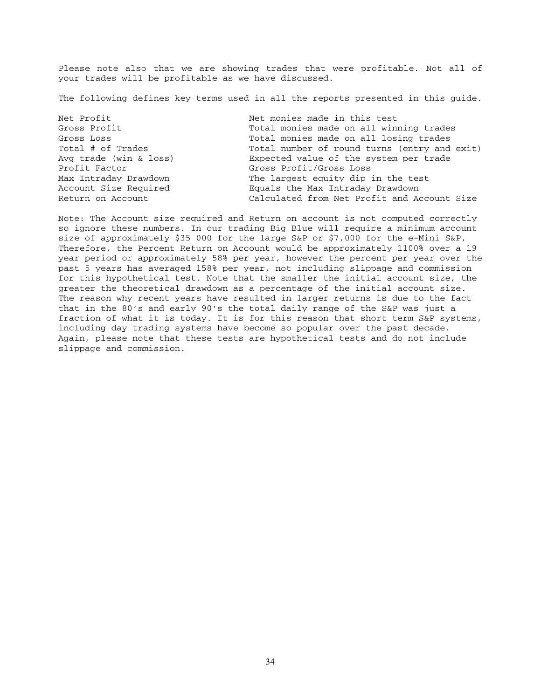Please note also that we are showing trades that were profitable. Not all of your trades will be profitable as we have discussed.

The following defines key terms used in all the reports presented in this guide.

Net Profit Net monies made in this test Profit Factor Gross Profit/Gross Loss

Gross Profit **The Communist Communist Communist Communist Communist Communist Communist Communist Communist Communist Communist Communist Communist Communist Communist Communist Communist Communist Communist Communist Comm** Gross Loss  $\overline{S}$  Cross Loss  $\overline{S}$  Total monies made on all losing trades Total # of Trades Total number of round turns (entry and exit) Avg trade (win & loss) Expected value of the system per trade Max Intraday Drawdown The largest equity dip in the test Account Size Required Equals the Max Intraday Drawdown Return on Account Calculated from Net Profit and Account Size

Note: The Account size required and Return on account is not computed correctly so ignore these numbers. In our trading Big Blue will require a minimum account size of approximately \$35 000 for the large S&P or \$7,000 for the e-Mini S&P, Therefore, the Percent Return on Account would be approximately 1100% over a 19 year period or approximately 58% per year, however the percent per year over the past 5 years has averaged 158% per year, not including slippage and commission for this hypothetical test. Note that the smaller the initial account size, the greater the theoretical drawdown as a percentage of the initial account size. The reason why recent years have resulted in larger returns is due to the fact that in the 80's and early 90's the total daily range of the S&P was just a fraction of what it is today. It is for this reason that short term S&P systems, including day trading systems have become so popular over the past decade. Again, please note that these tests are hypothetical tests and do not include slippage and commission.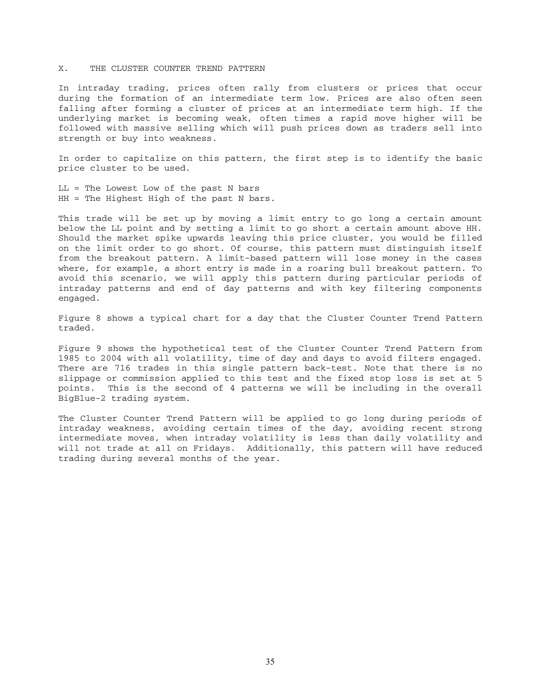## X. THE CLUSTER COUNTER TREND PATTERN

In intraday trading, prices often rally from clusters or prices that occur during the formation of an intermediate term low. Prices are also often seen falling after forming a cluster of prices at an intermediate term high. If the underlying market is becoming weak, often times a rapid move higher will be followed with massive selling which will push prices down as traders sell into strength or buy into weakness.

In order to capitalize on this pattern, the first step is to identify the basic price cluster to be used.

LL = The Lowest Low of the past N bars HH = The Highest High of the past N bars.

This trade will be set up by moving a limit entry to go long a certain amount below the LL point and by setting a limit to go short a certain amount above HH. Should the market spike upwards leaving this price cluster, you would be filled on the limit order to go short. Of course, this pattern must distinguish itself from the breakout pattern. A limit-based pattern will lose money in the cases where, for example, a short entry is made in a roaring bull breakout pattern. To avoid this scenario, we will apply this pattern during particular periods of intraday patterns and end of day patterns and with key filtering components engaged.

Figure 8 shows a typical chart for a day that the Cluster Counter Trend Pattern traded.

Figure 9 shows the hypothetical test of the Cluster Counter Trend Pattern from 1985 to 2004 with all volatility, time of day and days to avoid filters engaged. There are 716 trades in this single pattern back-test. Note that there is no slippage or commission applied to this test and the fixed stop loss is set at 5 points. This is the second of 4 patterns we will be including in the overall BigBlue-2 trading system.

The Cluster Counter Trend Pattern will be applied to go long during periods of intraday weakness, avoiding certain times of the day, avoiding recent strong intermediate moves, when intraday volatility is less than daily volatility and will not trade at all on Fridays. Additionally, this pattern will have reduced trading during several months of the year.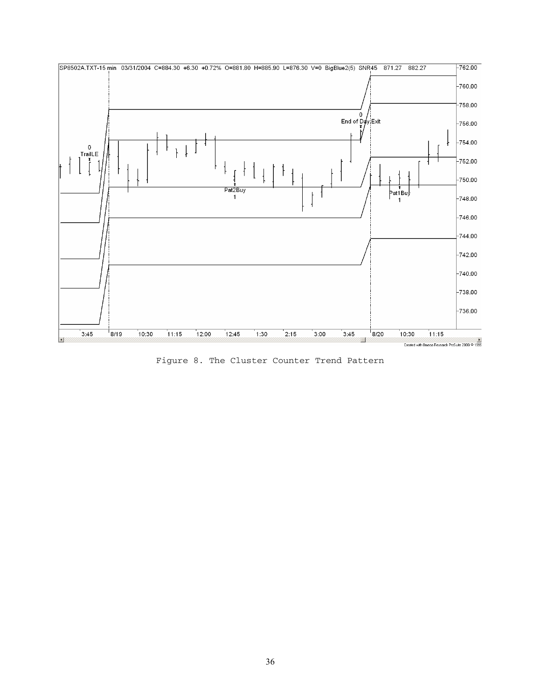

Figure 8. The Cluster Counter Trend Pattern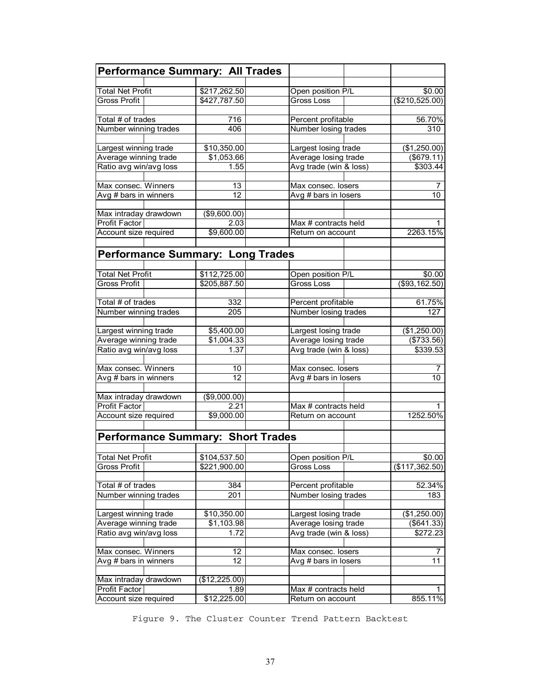| <b>Performance Summary: All Trades</b>   |               |                                 |                   |
|------------------------------------------|---------------|---------------------------------|-------------------|
|                                          |               |                                 |                   |
| <b>Total Net Profit</b>                  | \$217,262.50  | Open position P/L               | \$0.00            |
| <b>Gross Profit</b>                      | \$427,787.50  | <b>Gross Loss</b>               | (\$210,525.00)    |
| Total # of trades                        | 716           | Percent profitable              | 56.70%            |
| Number winning trades                    | 406           | Number losing trades            | 310               |
|                                          |               |                                 |                   |
| Largest winning trade                    | \$10,350.00   | Largest losing trade            | (\$1,250.00)      |
| Average winning trade                    | \$1,053.66    | Average losing trade            | $($ \$679.11)     |
| Ratio avg win/avg loss                   | 1.55          | Avg trade (win & loss)          | \$303.44          |
|                                          |               |                                 |                   |
| Max consec. Winners                      | 13            | Max consec. losers              | 7                 |
| Avg # bars in winners                    | 12            | Avg # bars in losers            | 10                |
| Max intraday drawdown                    | (\$9,600.00)  |                                 |                   |
| Profit Factor                            | 2.03          | Max # contracts held            |                   |
| Account size required                    | \$9,600.00    | Return on account               | 2263.15%          |
|                                          |               |                                 |                   |
|                                          |               |                                 |                   |
| <b>Performance Summary: Long Trades</b>  |               |                                 |                   |
| <b>Total Net Profit</b>                  | \$112,725.00  | Open position P/L               | \$0.00            |
| <b>Gross Profit</b>                      | \$205,887.50  | Gross Loss                      | (\$93,162.50)     |
|                                          |               |                                 |                   |
| Total # of trades                        | 332           | Percent profitable              | 61.75%            |
| Number winning trades                    | 205           | Number losing trades            | 127               |
|                                          |               |                                 |                   |
| Largest winning trade                    | \$5,400.00    | Largest losing trade            | (\$1,250.00)      |
| Average winning trade                    | \$1,004.33    | Average losing trade            | (\$733.56)        |
| Ratio avg win/avg loss                   | 1.37          | Avg trade (win & loss)          | \$339.53          |
| Max consec. Winners                      | 10            | Max consec. losers              | 7                 |
| Avg # bars in winners                    | 12            | Avg # bars in losers            | 10                |
|                                          |               |                                 |                   |
| Max intraday drawdown                    | (\$9,000.00)  |                                 |                   |
| Profit Factor                            | 2.21          | Max # contracts held            |                   |
| Account size required                    | \$9,000.00    | Return on account               | 1252.50%          |
|                                          |               |                                 |                   |
| <b>Performance Summary: Short Trades</b> |               |                                 |                   |
|                                          | \$104,537.50  |                                 | \$0.00            |
| <b>Total Net Profit</b><br>Gross Profit  | \$221,900.00  | Open position P/L<br>Gross Loss | (\$117,362.50)    |
|                                          |               |                                 |                   |
| Total # of trades                        | 384           | Percent profitable              | 52.34%            |
| Number winning trades                    | 201           | Number losing trades            | 183               |
|                                          |               |                                 |                   |
| Largest winning trade                    | \$10,350.00   | Largest losing trade            | (\$1,250.00)      |
| Average winning trade                    | \$1,103.98    | Average losing trade            | $($ \$641.33) $ $ |
| Ratio avg win/avg loss                   | 1.72          | Avg trade (win & loss)          | \$272.23          |
| Max consec. Winners                      | 12            | Max consec. losers              | 7                 |
| Avg # bars in winners                    | 12            | Avg # bars in losers            | 11                |
|                                          |               |                                 |                   |
| Max intraday drawdown                    | (\$12,225.00) |                                 |                   |
| Profit Factor                            | 1.89          | Max # contracts held            |                   |
| Account size required                    | \$12,225.00   | Return on account               | 855.11%           |

Figure 9. The Cluster Counter Trend Pattern Backtest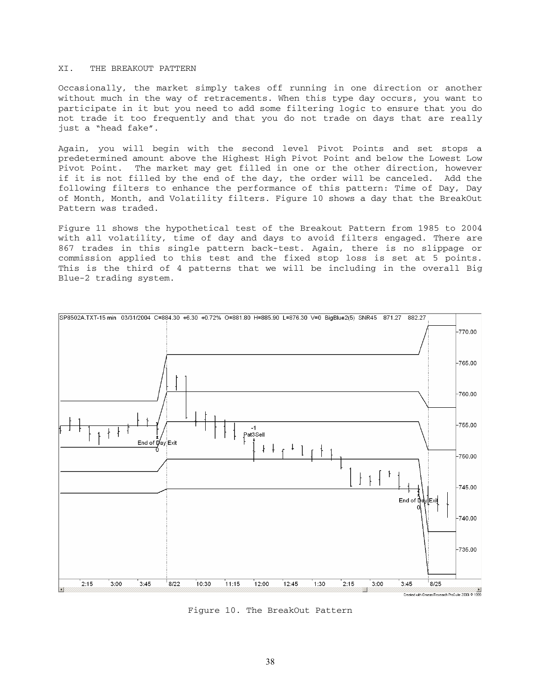#### XI. THE BREAKOUT PATTERN

Occasionally, the market simply takes off running in one direction or another without much in the way of retracements. When this type day occurs, you want to participate in it but you need to add some filtering logic to ensure that you do not trade it too frequently and that you do not trade on days that are really just a "head fake".

Again, you will begin with the second level Pivot Points and set stops a predetermined amount above the Highest High Pivot Point and below the Lowest Low Pivot Point. The market may get filled in one or the other direction, however if it is not filled by the end of the day, the order will be canceled. Add the following filters to enhance the performance of this pattern: Time of Day, Day of Month, Month, and Volatility filters. Figure 10 shows a day that the BreakOut Pattern was traded.

Figure 11 shows the hypothetical test of the Breakout Pattern from 1985 to 2004 with all volatility, time of day and days to avoid filters engaged. There are 867 trades in this single pattern back-test. Again, there is no slippage or commission applied to this test and the fixed stop loss is set at 5 points. This is the third of 4 patterns that we will be including in the overall Big Blue-2 trading system.



Figure 10. The BreakOut Pattern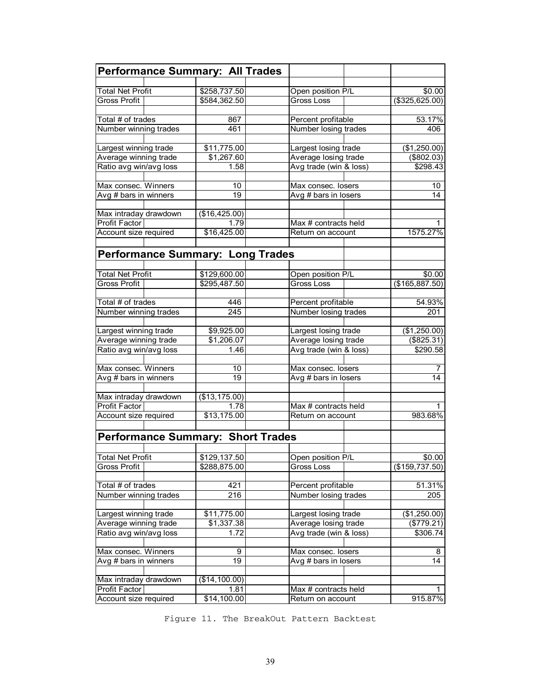| <b>Performance Summary: All Trades</b>   |                           |                        |                    |
|------------------------------------------|---------------------------|------------------------|--------------------|
|                                          |                           |                        |                    |
| <b>Total Net Profit</b>                  | \$258,737.50              | Open position P/L      | $\overline{$}0.00$ |
| <b>Gross Profit</b>                      | \$584,362.50              | Gross Loss             | $($ \$325,625.00)  |
| Total # of trades                        | 867                       | Percent profitable     | 53.17%             |
| Number winning trades                    | 461                       | Number losing trades   | 406                |
|                                          |                           |                        |                    |
| Largest winning trade                    | \$11,775.00               | Largest losing trade   | (\$1,250.00)       |
| Average winning trade                    | \$1,267.60                | Average losing trade   | (\$802.03)         |
| Ratio avg win/avg loss                   | 1.58                      | Avg trade (win & loss) | \$298.43           |
|                                          |                           |                        |                    |
| Max consec. Winners                      | 10                        | Max consec. losers     | 10                 |
| Avg # bars in winners                    | 19                        | Avg # bars in losers   | 14                 |
| Max intraday drawdown                    | (\$16,425.00)             |                        |                    |
| Profit Factor                            | 1.79                      | Max # contracts held   |                    |
| Account size required                    | \$16,425.00               | Return on account      | 1575.27%           |
|                                          |                           |                        |                    |
| <b>Performance Summary: Long Trades</b>  |                           |                        |                    |
|                                          |                           |                        |                    |
| <b>Total Net Profit</b>                  | \$129,600.00              | Open position P/L      | \$0.00             |
| <b>Gross Profit</b>                      | \$295,487.50              | <b>Gross Loss</b>      | (\$165,887.50)     |
|                                          |                           |                        |                    |
| Total # of trades                        | 446                       | Percent profitable     | 54.93%             |
| Number winning trades                    | 245                       | Number losing trades   | 201                |
|                                          |                           |                        |                    |
| Largest winning trade                    | \$9,925.00                | Largest losing trade   | (\$1,250.00)       |
| Average winning trade                    | \$1,206.07                | Average losing trade   | $($ \$825.31)      |
| Ratio avg win/avg loss                   | 1.46                      | Avg trade (win & loss) | \$290.58           |
| Max consec. Winners                      |                           |                        |                    |
|                                          | 10<br>19                  | Max consec. losers     | 7<br>14            |
| Avg # bars in winners                    |                           | Avg # bars in losers   |                    |
| Max intraday drawdown                    | (\$13, 175.00)            |                        |                    |
| Profit Factor                            | 1.78                      | Max # contracts held   |                    |
| Account size required                    | \$13,175.00               | Return on account      | 983.68%            |
|                                          |                           |                        |                    |
| <b>Performance Summary: Short Trades</b> |                           |                        |                    |
|                                          |                           |                        |                    |
| <b>Total Net Profit</b>                  | \$129,137.50              | Open position P/L      | \$0.00             |
| Gross Profit                             | \$288,875.00              | Gross Loss             | (\$159,737.50)     |
|                                          |                           |                        |                    |
| Total # of trades                        | 421                       | Percent profitable     | 51.31%             |
| Number winning trades                    | 216                       | Number losing trades   | 205                |
| Largest winning trade                    |                           | Largest losing trade   | (\$1,250.00)       |
| Average winning trade                    | \$11,775.00<br>\$1,337.38 | Average losing trade   | (\$779.21)         |
| Ratio avg win/avg loss                   | 1.72                      | Avg trade (win & loss) | \$306.74           |
|                                          |                           |                        |                    |
| Max consec. Winners                      | 9                         | Max consec. losers     | 8                  |
| Avg # bars in winners                    | 19                        | Avg # bars in losers   | 14                 |
|                                          |                           |                        |                    |
| Max intraday drawdown                    | (\$14,100.00)             |                        |                    |
| Profit Factor                            | 1.81                      | Max # contracts held   |                    |
| Account size required                    | \$14,100.00               | Return on account      | 915.87%            |

Figure 11. The BreakOut Pattern Backtest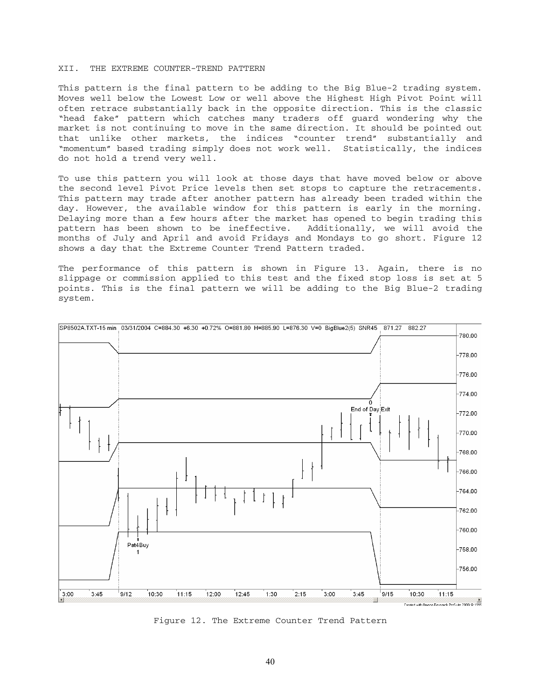# XII. THE EXTREME COUNTER-TREND PATTERN

This pattern is the final pattern to be adding to the Big Blue-2 trading system. Moves well below the Lowest Low or well above the Highest High Pivot Point will often retrace substantially back in the opposite direction. This is the classic "head fake" pattern which catches many traders off guard wondering why the market is not continuing to move in the same direction. It should be pointed out that unlike other markets, the indices "counter trend" substantially and "momentum" based trading simply does not work well. Statistically, the indices do not hold a trend very well.

To use this pattern you will look at those days that have moved below or above the second level Pivot Price levels then set stops to capture the retracements. This pattern may trade after another pattern has already been traded within the day. However, the available window for this pattern is early in the morning. Delaying more than a few hours after the market has opened to begin trading this pattern has been shown to be ineffective. Additionally, we will avoid the months of July and April and avoid Fridays and Mondays to go short. Figure 12 shows a day that the Extreme Counter Trend Pattern traded.

The performance of this pattern is shown in Figure 13. Again, there is no slippage or commission applied to this test and the fixed stop loss is set at 5 points. This is the final pattern we will be adding to the Big Blue-2 trading system.



Figure 12. The Extreme Counter Trend Pattern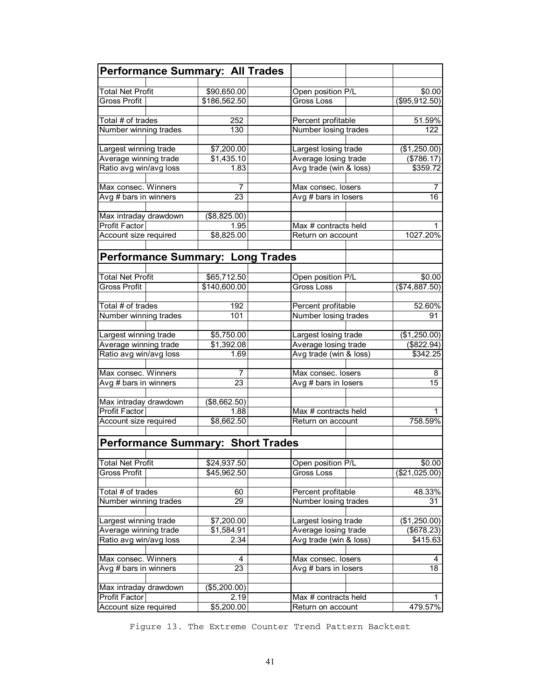| <b>Performance Summary: All Trades</b>   |                |                        |                  |
|------------------------------------------|----------------|------------------------|------------------|
|                                          |                |                        |                  |
| <b>Total Net Profit</b>                  | \$90,650.00    | Open position P/L      | \$0.00           |
| <b>Gross Profit</b>                      | \$186,562.50   | Gross Loss             | $($ \$95,912.50) |
| Total # of trades                        | 252            | Percent profitable     | 51.59%           |
| Number winning trades                    | 130            | Number losing trades   | 122              |
|                                          |                |                        |                  |
| Largest winning trade                    | \$7,200.00     | Largest losing trade   | (\$1,250.00)     |
| Average winning trade                    | \$1,435.10     | Average losing trade   | (\$786.17)       |
| Ratio avg win/avg loss                   | 1.83           | Avg trade (win & loss) | \$359.72         |
| Max consec. Winners                      | 7              | Max consec. losers     | 7                |
| Avg # bars in winners                    | 23             | Avg # bars in losers   | 16               |
|                                          |                |                        |                  |
| Max intraday drawdown                    | (\$8,825.00)   |                        |                  |
| Profit Factor                            | 1.95           | Max # contracts held   |                  |
| Account size required                    | \$8,825.00     | Return on account      | 1027.20%         |
|                                          |                |                        |                  |
| <b>Performance Summary: Long Trades</b>  |                |                        |                  |
|                                          |                |                        |                  |
| <b>Total Net Profit</b>                  | \$65,712.50    | Open position P/L      | \$0.00           |
| <b>Gross Profit</b>                      | \$140,600.00   | <b>Gross Loss</b>      | (\$74,887.50)    |
|                                          |                |                        |                  |
| Total # of trades                        | 192            | Percent profitable     | 52.60%           |
| Number winning trades                    | 101            | Number losing trades   | 91               |
| Largest winning trade                    | \$5,750.00     | Largest losing trade   | (\$1,250.00)     |
| Average winning trade                    | \$1,392.08     | Average losing trade   | (\$822.94)       |
| Ratio avg win/avg loss                   | 1.69           | Avg trade (win & loss) | \$342.25         |
|                                          |                |                        |                  |
| Max consec. Winners                      | $\overline{7}$ | Max consec. losers     | 8                |
| Avg # bars in winners                    | 23             | Avg # bars in losers   | 15               |
| Max intraday drawdown                    | (\$8,662.50)   |                        |                  |
| Profit Factor                            | 1.88           | Max # contracts held   |                  |
| Account size required                    | \$8,662.50     | Return on account      | 758.59%          |
|                                          |                |                        |                  |
| <b>Performance Summary: Short Trades</b> |                |                        |                  |
|                                          |                |                        |                  |
| <b>Total Net Profit</b>                  | \$24,937.50    | Open position P/L      | \$0.00           |
| Gross Profit                             | \$45,962.50    | Gross Loss             | (\$21,025.00)    |
| Total # of trades                        |                | Percent profitable     |                  |
|                                          | 60<br>29       | Number losing trades   | 48.33%<br>31     |
| Number winning trades                    |                |                        |                  |
| Largest winning trade                    | \$7,200.00     | Largest losing trade   | (\$1,250.00)     |
| Average winning trade                    | \$1,584.91     | Average losing trade   | (\$678.23)       |
| Ratio avg win/avg loss                   | 2.34           | Avg trade (win & loss) | \$415.63         |
|                                          |                |                        |                  |
| Max consec. Winners                      | 4              | Max consec. losers     | 4                |
| Avg # bars in winners                    | 23             | Avg # bars in losers   | 18               |
| Max intraday drawdown                    | (\$5,200.00)   |                        |                  |
| Profit Factor                            | 2.19           | Max # contracts held   |                  |
| Account size required                    | \$5,200.00     | Return on account      | 479.57%          |
|                                          |                |                        |                  |

Figure 13. The Extreme Counter Trend Pattern Backtest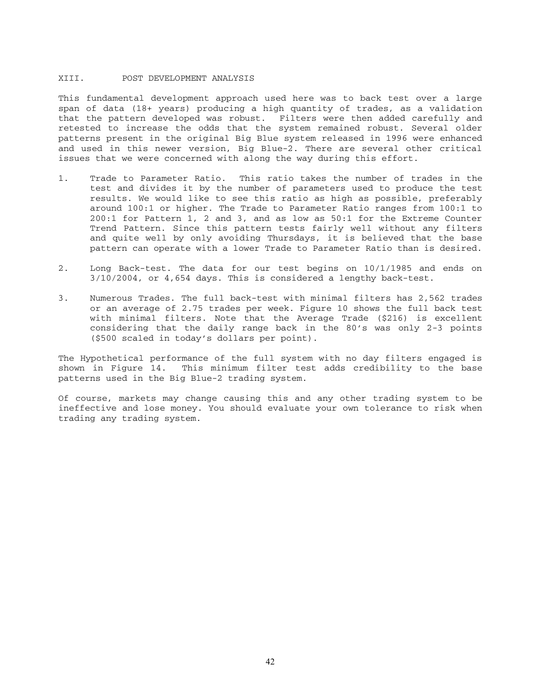### XIII. POST DEVELOPMENT ANALYSIS

This fundamental development approach used here was to back test over a large span of data (18+ years) producing a high quantity of trades, as a validation that the pattern developed was robust. Filters were then added carefully and retested to increase the odds that the system remained robust. Several older patterns present in the original Big Blue system released in 1996 were enhanced and used in this newer version, Big Blue-2. There are several other critical issues that we were concerned with along the way during this effort.

- 1. Trade to Parameter Ratio. This ratio takes the number of trades in the test and divides it by the number of parameters used to produce the test results. We would like to see this ratio as high as possible, preferably around 100:1 or higher. The Trade to Parameter Ratio ranges from 100:1 to 200:1 for Pattern 1, 2 and 3, and as low as 50:1 for the Extreme Counter Trend Pattern. Since this pattern tests fairly well without any filters and quite well by only avoiding Thursdays, it is believed that the base pattern can operate with a lower Trade to Parameter Ratio than is desired.
- 2. Long Back-test. The data for our test begins on 10/1/1985 and ends on 3/10/2004, or 4,654 days. This is considered a lengthy back-test.
- 3. Numerous Trades. The full back-test with minimal filters has 2,562 trades or an average of 2.75 trades per week. Figure 10 shows the full back test with minimal filters. Note that the Average Trade (\$216) is excellent considering that the daily range back in the 80's was only 2-3 points (\$500 scaled in today's dollars per point).

The Hypothetical performance of the full system with no day filters engaged is shown in Figure 14. This minimum filter test adds credibility to the base patterns used in the Big Blue-2 trading system.

Of course, markets may change causing this and any other trading system to be ineffective and lose money. You should evaluate your own tolerance to risk when trading any trading system.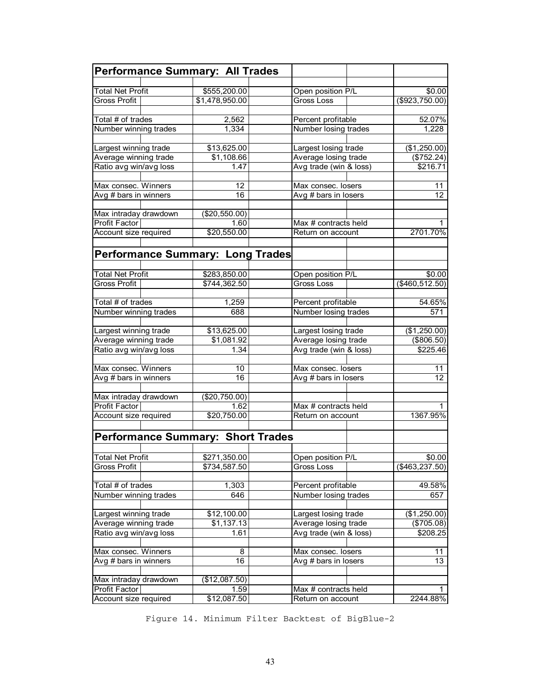| <b>Performance Summary: All Trades</b>          |                           |                                                |                        |
|-------------------------------------------------|---------------------------|------------------------------------------------|------------------------|
|                                                 |                           |                                                |                        |
| <b>Total Net Profit</b><br>Gross Profit         | \$555,200.00              | Open position P/L<br>Gross Loss                | \$0.00                 |
|                                                 | \$1,478,950.00            |                                                | (\$923,750.00)         |
| Total # of trades                               | 2,562                     | Percent profitable                             | 52.07%                 |
| Number winning trades                           | 1,334                     | Number losing trades                           | 1,228                  |
|                                                 |                           |                                                |                        |
| Largest winning trade                           | \$13,625.00               | Largest losing trade                           | (\$1,250.00)           |
| Average winning trade                           | \$1,108.66                | Average losing trade                           | (\$752.24)             |
| Ratio avg win/avg loss                          | 1.47                      | Avg trade (win & loss)                         | \$216.71               |
| Max consec. Winners                             |                           |                                                |                        |
| Avg # bars in winners                           | 12<br>16                  | Max consec. losers<br>Avg # bars in losers     | 11<br>12               |
|                                                 |                           |                                                |                        |
| Max intraday drawdown                           | (\$20,550.00)             |                                                |                        |
| Profit Factor                                   | 1.60                      | Max # contracts held                           |                        |
| Account size required                           | \$20,550.00               | Return on account                              | 2701.70%               |
|                                                 |                           |                                                |                        |
| <b>Performance Summary: Long Trades</b>         |                           |                                                |                        |
|                                                 |                           |                                                |                        |
| <b>Total Net Profit</b>                         | \$283,850.00              | Open position P/L                              | \$0.00                 |
| Gross Profit                                    | \$744,362.50              | Gross Loss                                     | ( \$460, 512.50)       |
|                                                 |                           |                                                |                        |
| Total # of trades                               | 1,259                     | Percent profitable                             | 54.65%                 |
| Number winning trades                           | 688                       | Number losing trades                           | 571                    |
|                                                 |                           |                                                |                        |
| Largest winning trade                           | \$13,625.00<br>\$1,081.92 | Largest losing trade                           | (\$1,250.00)           |
| Average winning trade<br>Ratio avg win/avg loss | 1.34                      | Average losing trade<br>Avg trade (win & loss) | (\$806.50)<br>\$225.46 |
|                                                 |                           |                                                |                        |
| Max consec. Winners                             | 10                        | Max consec. losers                             | 11                     |
| Avg # bars in winners                           | 16                        | Avg # bars in losers                           | 12                     |
|                                                 |                           |                                                |                        |
| Max intraday drawdown                           | (\$20,750.00)             |                                                |                        |
| Profit Factor                                   | 1.62                      | Max # contracts held                           |                        |
| Account size required                           | \$20,750.00               | Return on account                              | 1367.95%               |
|                                                 |                           |                                                |                        |
| Performance Summary: Short Trades               |                           |                                                |                        |
| <b>Total Net Profit</b>                         | \$271,350.00              |                                                | \$0.00                 |
| Gross Profit                                    | \$734,587.50              | Open position P/L<br>Gross Loss                | (\$463, 237.50)        |
|                                                 |                           |                                                |                        |
| Total # of trades                               | 1,303                     | Percent profitable                             | 49.58%                 |
| Number winning trades                           | 646                       | Number losing trades                           | 657                    |
|                                                 |                           |                                                |                        |
| Largest winning trade                           | \$12,100.00               | Largest losing trade                           | (\$1,250.00)           |
| Average winning trade                           | \$1,137.13                | Average losing trade                           | (\$705.08)             |
| Ratio avg win/avg loss                          | 1.61                      | Avg trade (win & loss)                         | \$208.25               |
|                                                 |                           |                                                |                        |
| Max consec. Winners                             | 8                         | Max consec. losers                             | 11                     |
| Avg # bars in winners                           | 16                        | Avg # bars in losers                           | 13                     |
|                                                 |                           |                                                |                        |
| Max intraday drawdown<br>Profit Factor          | (\$12,087.50)<br>1.59     | Max # contracts held                           | 1                      |
| Account size required                           | \$12,087.50               | Return on account                              | 2244.88%               |

Figure 14. Minimum Filter Backtest of BigBlue-2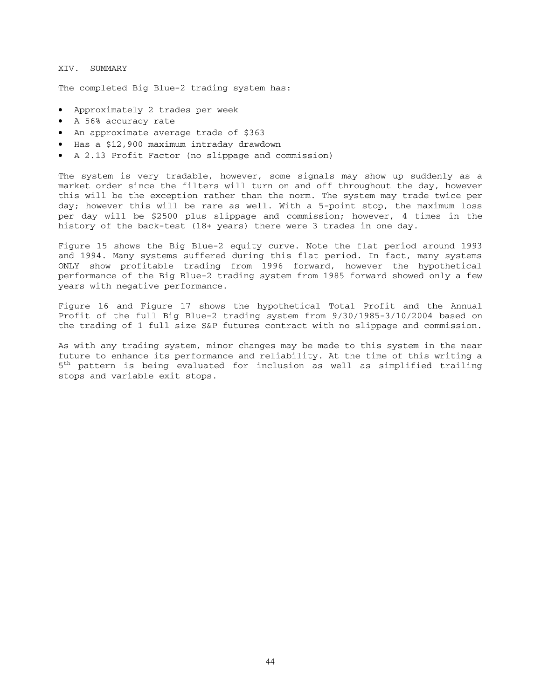#### XIV. SUMMARY

The completed Big Blue-2 trading system has:

- Approximately 2 trades per week
- A 56% accuracy rate
- An approximate average trade of \$363
- Has a \$12,900 maximum intraday drawdown
- A 2.13 Profit Factor (no slippage and commission)

The system is very tradable, however, some signals may show up suddenly as a market order since the filters will turn on and off throughout the day, however this will be the exception rather than the norm. The system may trade twice per day; however this will be rare as well. With a 5-point stop, the maximum loss per day will be \$2500 plus slippage and commission; however, 4 times in the history of the back-test (18+ years) there were 3 trades in one day.

Figure 15 shows the Big Blue-2 equity curve. Note the flat period around 1993 and 1994. Many systems suffered during this flat period. In fact, many systems ONLY show profitable trading from 1996 forward, however the hypothetical performance of the Big Blue-2 trading system from 1985 forward showed only a few years with negative performance.

Figure 16 and Figure 17 shows the hypothetical Total Profit and the Annual Profit of the full Big Blue-2 trading system from 9/30/1985-3/10/2004 based on the trading of 1 full size S&P futures contract with no slippage and commission.

As with any trading system, minor changes may be made to this system in the near future to enhance its performance and reliability. At the time of this writing a 5<sup>th</sup> pattern is being evaluated for inclusion as well as simplified trailing stops and variable exit stops.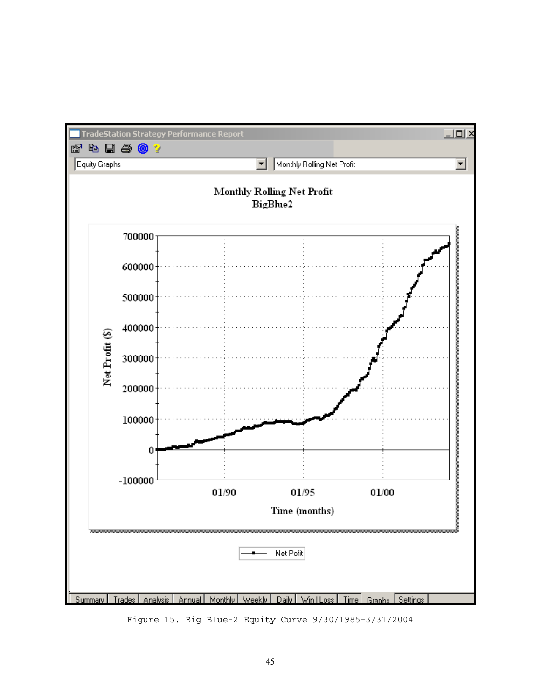

Figure 15. Big Blue-2 Equity Curve 9/30/1985-3/31/2004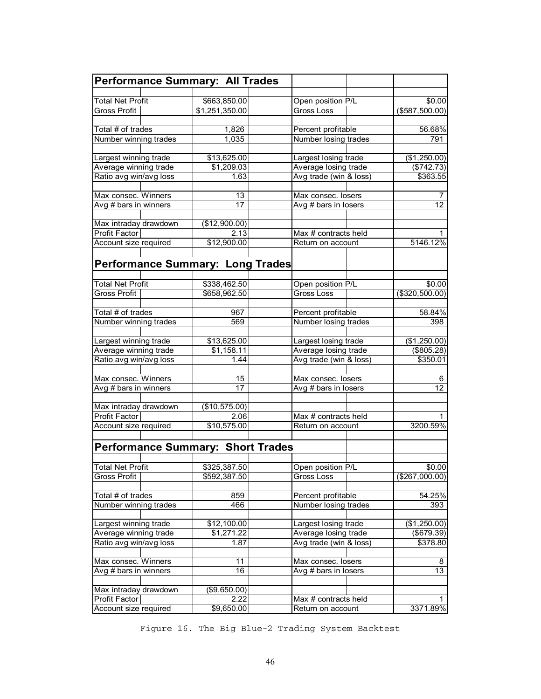| <b>Performance Summary: All Trades</b>   |                       |                                           |                            |
|------------------------------------------|-----------------------|-------------------------------------------|----------------------------|
|                                          |                       |                                           |                            |
| <b>Total Net Profit</b>                  | \$663,850.00          | Open position P/L                         | \$0.00                     |
| Gross Profit                             | \$1,251,350.00        | Gross Loss                                | $($ \$587,500.00)          |
| Total # of trades                        | 1,826                 | Percent profitable                        | 56.68%                     |
| Number winning trades                    | 1,035                 | Number losing trades                      | 791                        |
|                                          |                       |                                           |                            |
| Largest winning trade                    | \$13,625.00           | Largest losing trade                      | (\$1,250.00)               |
| Average winning trade                    | \$1,209.03            | Average losing trade                      | (\$742.73)                 |
| Ratio avg win/avg loss                   | 1.63                  | Avg trade (win & loss)                    | \$363.55                   |
| Max consec. Winners                      |                       |                                           |                            |
|                                          | 13<br>$\overline{17}$ | Max consec. losers                        | 7<br>12                    |
| Avg # bars in winners                    |                       | Avg # bars in losers                      |                            |
| Max intraday drawdown                    | (\$12,900.00)         |                                           |                            |
| <b>Profit Factor</b>                     | 2.13                  | Max # contracts held                      | 1                          |
| Account size required                    | \$12,900.00           | Return on account                         | 5146.12%                   |
|                                          |                       |                                           |                            |
| <b>Performance Summary: Long Trades</b>  |                       |                                           |                            |
|                                          |                       |                                           |                            |
| <b>Total Net Profit</b>                  | \$338,462.50          | Open position P/L                         | \$0.00                     |
| <b>Gross Profit</b>                      | \$658,962.50          | Gross Loss                                | $($ \$320,500.00)          |
|                                          |                       |                                           |                            |
| Total # of trades                        | 967                   | Percent profitable                        | 58.84%                     |
| Number winning trades                    | 569                   | Number losing trades                      | 398                        |
| Largest winning trade                    | \$13,625.00           | Largest losing trade                      | (\$1,250.00)               |
| Average winning trade                    | \$1,158.11            | Average losing trade                      | (\$805.28)                 |
| Ratio avg win/avg loss                   | 1.44                  | Avg trade (win & loss)                    | \$350.01                   |
|                                          |                       |                                           |                            |
| Max consec. Winners                      | 15                    | Max consec. losers                        | 6                          |
| Avg # bars in winners                    | 17                    | Avg # bars in losers                      | 12 <sup>2</sup>            |
| Max intraday drawdown                    | (\$10,575.00)         |                                           |                            |
| <b>Profit Factor</b>                     | 2.06                  |                                           |                            |
| Account size required                    | \$10,575.00           | Max # contracts held<br>Return on account | 3200.59%                   |
|                                          |                       |                                           |                            |
| <b>Performance Summary: Short Trades</b> |                       |                                           |                            |
|                                          |                       |                                           |                            |
| <b>Total Net Profit</b>                  | \$325,387.50          | Open position P/L                         | \$0.00                     |
| <b>Gross Profit</b>                      | \$592,387.50          | Gross Loss                                | (\$267,000.00)             |
|                                          |                       |                                           |                            |
| Total # of trades                        | 859                   | Percent profitable                        | 54.25%                     |
| Number winning trades                    | 466                   | Number losing trades                      | 393                        |
| Largest winning trade                    | \$12,100.00           | Largest losing trade                      |                            |
| Average winning trade                    | \$1,271.22            | Average losing trade                      | (\$1,250.00)<br>(\$679.39) |
|                                          | 1.87                  | Avg trade (win & loss)                    | \$378.80                   |
| Ratio avg win/avg loss                   |                       |                                           |                            |
| Max consec. Winners                      | 11                    | Max consec. losers                        | 8                          |
| Avg # bars in winners                    | 16                    | Avg # bars in losers                      | 13                         |
|                                          |                       |                                           |                            |
| Max intraday drawdown                    | (\$9,650.00)          |                                           |                            |
| Profit Factor                            | 2.22                  | Max # contracts held                      |                            |
| Account size required                    | \$9,650.00            | Return on account                         | 3371.89%                   |

Figure 16. The Big Blue-2 Trading System Backtest